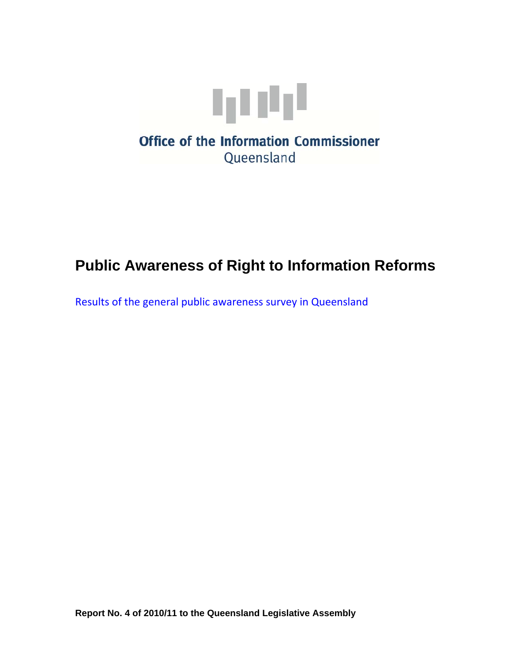

# **Public Awareness of Right to Information Reforms**

Results of the general public awareness survey in Queensland

**Report No. 4 of 2010/11 to the Queensland Legislative Assembly**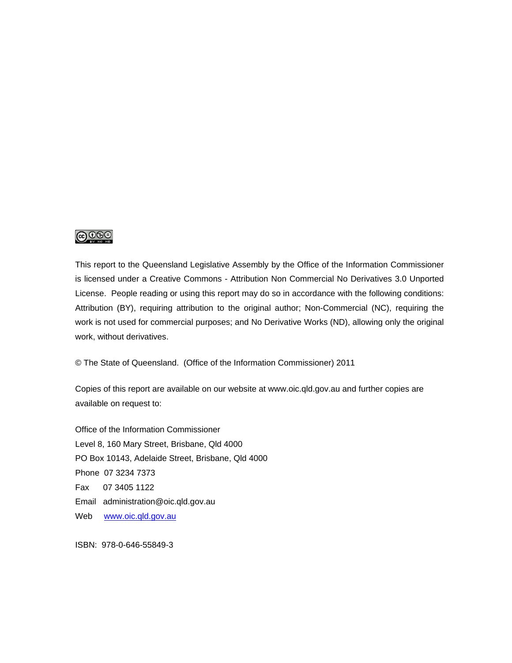### ெ⊛

This report to the Queensland Legislative Assembly by the Office of the Information Commissioner is licensed under a Creative Commons - Attribution Non Commercial No Derivatives 3.0 Unported License. People reading or using this report may do so in accordance with the following conditions: Attribution (BY), requiring attribution to the original author; Non-Commercial (NC), requiring the work is not used for commercial purposes; and No Derivative Works (ND), allowing only the original work, without derivatives.

© The State of Queensland. (Office of the Information Commissioner) 2011

Copies of this report are available on our website at www.oic.qld.gov.au and further copies are available on request to:

Office of the Information Commissioner Level 8, 160 Mary Street, Brisbane, Qld 4000 PO Box 10143, Adelaide Street, Brisbane, Qld 4000 Phone 07 3234 7373 Fax 07 3405 1122 Email administration@oic.qld.gov.au Web www.oic.qld.gov.au

ISBN: 978-0-646-55849-3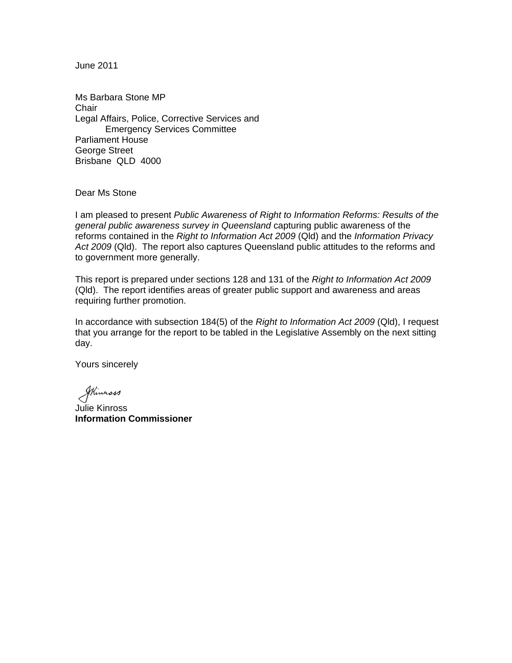June 2011

Ms Barbara Stone MP **Chair** Legal Affairs, Police, Corrective Services and Emergency Services Committee Parliament House George Street Brisbane QLD 4000

Dear Ms Stone

I am pleased to present *Public Awareness of Right to Information Reforms: Results of the general public awareness survey in Queensland* capturing public awareness of the reforms contained in the *Right to Information Act 2009* (Qld) and the *Information Privacy Act 2009* (Qld). The report also captures Queensland public attitudes to the reforms and to government more generally.

This report is prepared under sections 128 and 131 of the *Right to Information Act 2009*  (Qld). The report identifies areas of greater public support and awareness and areas requiring further promotion.

In accordance with subsection 184(5) of the *Right to Information Act 2009* (Qld), I request that you arrange for the report to be tabled in the Legislative Assembly on the next sitting day.

Yours sincerely

Stimmass

Julie Kinross **Information Commissioner**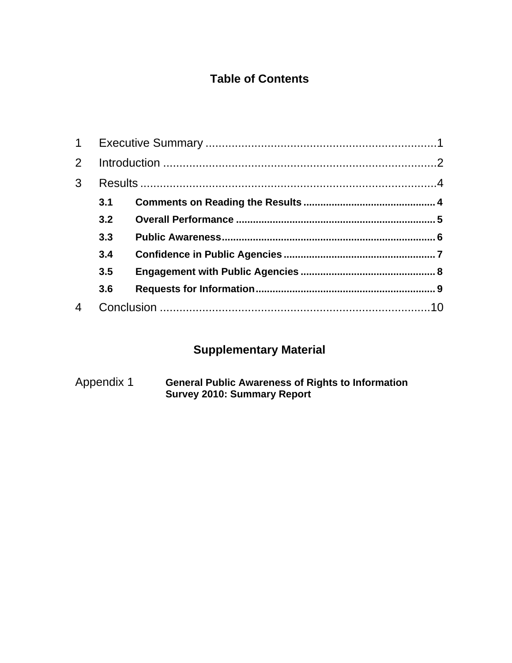### **Table of Contents**

| $\mathbf 1$    |     |  |
|----------------|-----|--|
| $\overline{2}$ |     |  |
| 3              |     |  |
|                | 3.1 |  |
|                | 3.2 |  |
|                | 3.3 |  |
|                | 3.4 |  |
|                | 3.5 |  |
|                | 3.6 |  |
|                |     |  |

# **Supplementary Material**

Appendix 1 **General Public Awareness of Rights to Information Survey 2010: Summary Report**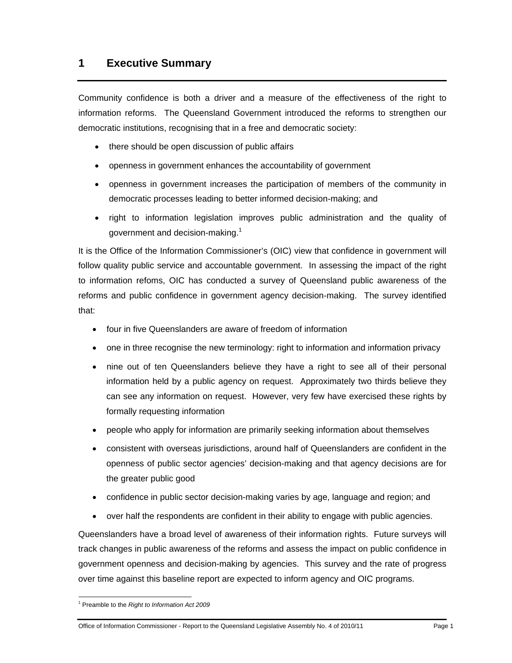### **1 Executive Summary**

Community confidence is both a driver and a measure of the effectiveness of the right to information reforms. The Queensland Government introduced the reforms to strengthen our democratic institutions, recognising that in a free and democratic society:

- there should be open discussion of public affairs
- openness in government enhances the accountability of government
- openness in government increases the participation of members of the community in democratic processes leading to better informed decision-making; and
- right to information legislation improves public administration and the quality of government and decision-making.<sup>1</sup>

It is the Office of the Information Commissioner's (OIC) view that confidence in government will follow quality public service and accountable government. In assessing the impact of the right to information refoms, OIC has conducted a survey of Queensland public awareness of the reforms and public confidence in government agency decision-making. The survey identified that:

- four in five Queenslanders are aware of freedom of information
- one in three recognise the new terminology: right to information and information privacy
- nine out of ten Queenslanders believe they have a right to see all of their personal information held by a public agency on request. Approximately two thirds believe they can see any information on request. However, very few have exercised these rights by formally requesting information
- people who apply for information are primarily seeking information about themselves
- consistent with overseas jurisdictions, around half of Queenslanders are confident in the openness of public sector agencies' decision-making and that agency decisions are for the greater public good
- confidence in public sector decision-making varies by age, language and region; and
- over half the respondents are confident in their ability to engage with public agencies.

Queenslanders have a broad level of awareness of their information rights. Future surveys will track changes in public awareness of the reforms and assess the impact on public confidence in government openness and decision-making by agencies. This survey and the rate of progress over time against this baseline report are expected to inform agency and OIC programs.

 1 Preamble to the *Right to Information Act 2009*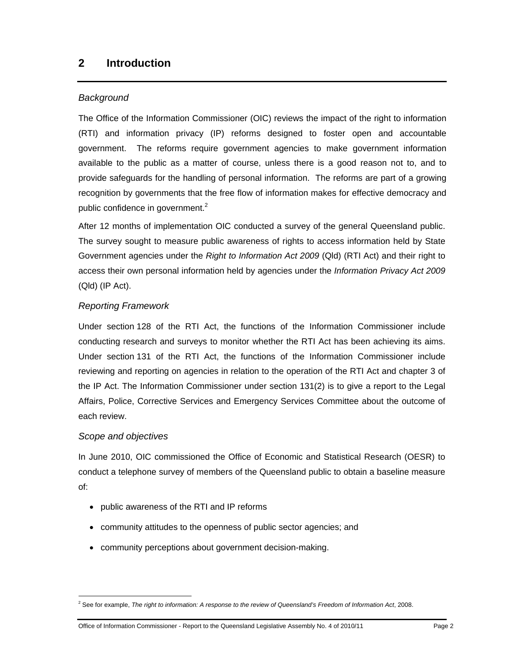### **2 Introduction**

### *Background*

The Office of the Information Commissioner (OIC) reviews the impact of the right to information (RTI) and information privacy (IP) reforms designed to foster open and accountable government. The reforms require government agencies to make government information available to the public as a matter of course, unless there is a good reason not to, and to provide safeguards for the handling of personal information. The reforms are part of a growing recognition by governments that the free flow of information makes for effective democracy and public confidence in government. $2$ 

After 12 months of implementation OIC conducted a survey of the general Queensland public. The survey sought to measure public awareness of rights to access information held by State Government agencies under the *Right to Information Act 2009* (Qld) (RTI Act) and their right to access their own personal information held by agencies under the *Information Privacy Act 2009*  (Qld) (IP Act).

### *Reporting Framework*

Under section 128 of the RTI Act, the functions of the Information Commissioner include conducting research and surveys to monitor whether the RTI Act has been achieving its aims. Under section 131 of the RTI Act, the functions of the Information Commissioner include reviewing and reporting on agencies in relation to the operation of the RTI Act and chapter 3 of the IP Act. The Information Commissioner under section 131(2) is to give a report to the Legal Affairs, Police, Corrective Services and Emergency Services Committee about the outcome of each review.

### *Scope and objectives*

-

In June 2010, OIC commissioned the Office of Economic and Statistical Research (OESR) to conduct a telephone survey of members of the Queensland public to obtain a baseline measure of:

- public awareness of the RTI and IP reforms
- community attitudes to the openness of public sector agencies; and
- community perceptions about government decision-making.

<sup>2</sup> See for example, *The right to information: A response to the review of Queensland's Freedom of Information Act*, 2008.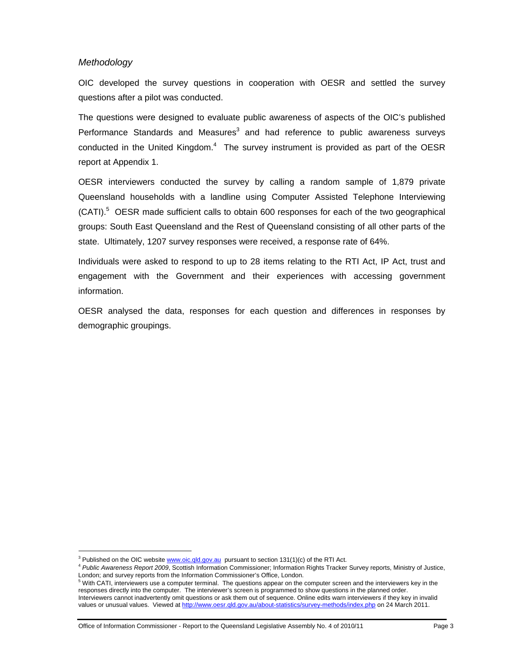#### *Methodology*

-

OIC developed the survey questions in cooperation with OESR and settled the survey questions after a pilot was conducted.

The questions were designed to evaluate public awareness of aspects of the OIC's published Performance Standards and Measures $3$  and had reference to public awareness surveys conducted in the United Kingdom. $4$  The survey instrument is provided as part of the OESR report at Appendix 1.

OESR interviewers conducted the survey by calling a random sample of 1,879 private Queensland households with a landline using Computer Assisted Telephone Interviewing (CATI).<sup>5</sup> OESR made sufficient calls to obtain 600 responses for each of the two geographical groups: South East Queensland and the Rest of Queensland consisting of all other parts of the state. Ultimately, 1207 survey responses were received, a response rate of 64%.

Individuals were asked to respond to up to 28 items relating to the RTI Act, IP Act, trust and engagement with the Government and their experiences with accessing government information.

OESR analysed the data, responses for each question and differences in responses by demographic groupings.

 $3$  Published on the OIC website  $www.oic,qld.gov.au$  pursuant to section 131(1)(c) of the RTI Act.

<sup>&</sup>lt;sup>4</sup> Public Awareness Report 2009, Scottish Information Commissioner; Information Rights Tracker Survey reports, Ministry of Justice,

London; and survey reports from the Information Commissioner's Office, London.<br><sup>5</sup> With CATI, interviewers use a computer terminal. The questions appear on the computer screen and the interviewers key in the responses directly into the computer. The interviewer's screen is programmed to show questions in the planned order. Interviewers cannot inadvertently omit questions or ask them out of sequence. Online edits warn interviewers if they key in invalid values or unusual values. Viewed at http://www.oesr.qld.gov.au/about-statistics/survey-methods/index.php on 24 March 2011.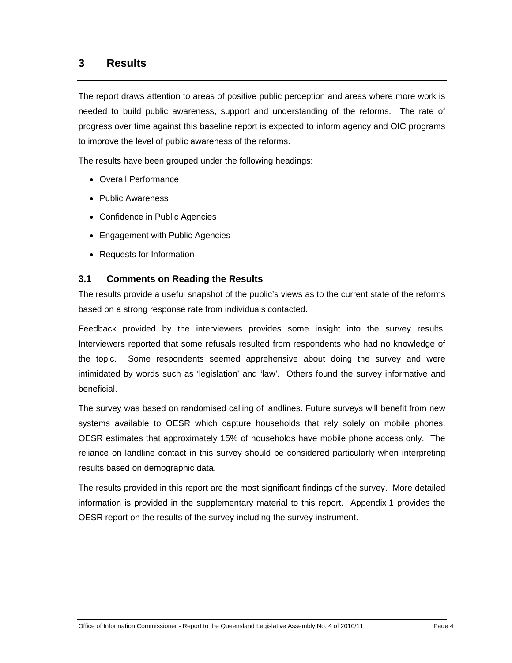### **3 Results**

The report draws attention to areas of positive public perception and areas where more work is needed to build public awareness, support and understanding of the reforms. The rate of progress over time against this baseline report is expected to inform agency and OIC programs to improve the level of public awareness of the reforms.

The results have been grouped under the following headings:

- Overall Performance
- Public Awareness
- Confidence in Public Agencies
- Engagement with Public Agencies
- Requests for Information

#### **3.1 Comments on Reading the Results**

The results provide a useful snapshot of the public's views as to the current state of the reforms based on a strong response rate from individuals contacted.

Feedback provided by the interviewers provides some insight into the survey results. Interviewers reported that some refusals resulted from respondents who had no knowledge of the topic. Some respondents seemed apprehensive about doing the survey and were intimidated by words such as 'legislation' and 'law'. Others found the survey informative and beneficial.

The survey was based on randomised calling of landlines. Future surveys will benefit from new systems available to OESR which capture households that rely solely on mobile phones. OESR estimates that approximately 15% of households have mobile phone access only. The reliance on landline contact in this survey should be considered particularly when interpreting results based on demographic data.

The results provided in this report are the most significant findings of the survey. More detailed information is provided in the supplementary material to this report. Appendix 1 provides the OESR report on the results of the survey including the survey instrument.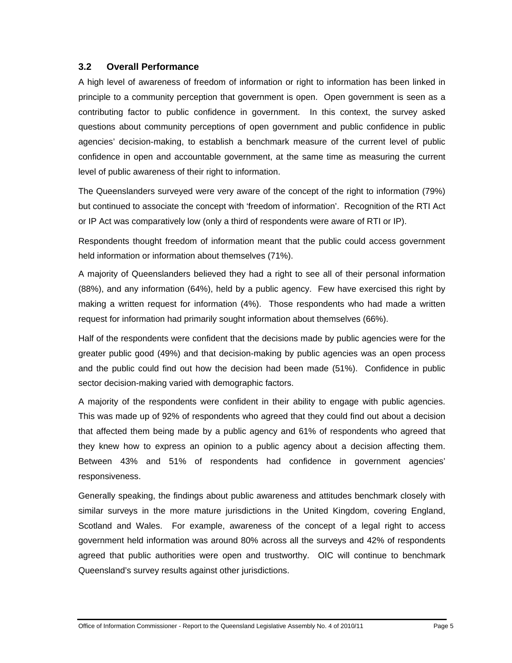### **3.2 Overall Performance**

A high level of awareness of freedom of information or right to information has been linked in principle to a community perception that government is open. Open government is seen as a contributing factor to public confidence in government. In this context, the survey asked questions about community perceptions of open government and public confidence in public agencies' decision-making, to establish a benchmark measure of the current level of public confidence in open and accountable government, at the same time as measuring the current level of public awareness of their right to information.

The Queenslanders surveyed were very aware of the concept of the right to information (79%) but continued to associate the concept with 'freedom of information'. Recognition of the RTI Act or IP Act was comparatively low (only a third of respondents were aware of RTI or IP).

Respondents thought freedom of information meant that the public could access government held information or information about themselves (71%).

A majority of Queenslanders believed they had a right to see all of their personal information (88%), and any information (64%), held by a public agency. Few have exercised this right by making a written request for information (4%). Those respondents who had made a written request for information had primarily sought information about themselves (66%).

Half of the respondents were confident that the decisions made by public agencies were for the greater public good (49%) and that decision-making by public agencies was an open process and the public could find out how the decision had been made (51%). Confidence in public sector decision-making varied with demographic factors.

A majority of the respondents were confident in their ability to engage with public agencies. This was made up of 92% of respondents who agreed that they could find out about a decision that affected them being made by a public agency and 61% of respondents who agreed that they knew how to express an opinion to a public agency about a decision affecting them. Between 43% and 51% of respondents had confidence in government agencies' responsiveness.

Generally speaking, the findings about public awareness and attitudes benchmark closely with similar surveys in the more mature jurisdictions in the United Kingdom, covering England, Scotland and Wales. For example, awareness of the concept of a legal right to access government held information was around 80% across all the surveys and 42% of respondents agreed that public authorities were open and trustworthy. OIC will continue to benchmark Queensland's survey results against other jurisdictions.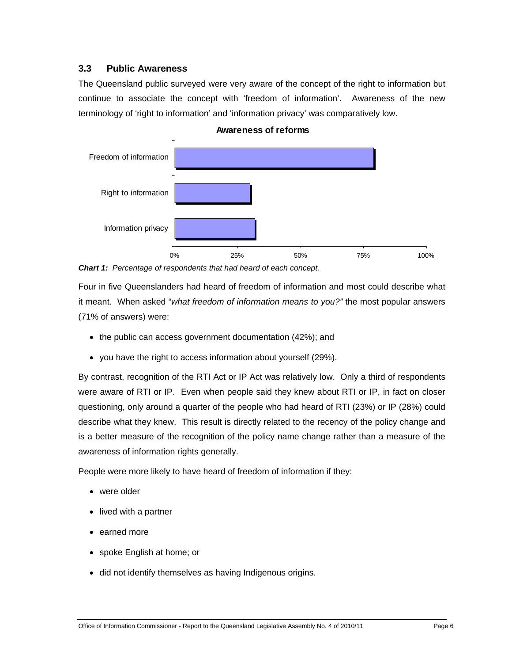### **3.3 Public Awareness**

The Queensland public surveyed were very aware of the concept of the right to information but continue to associate the concept with 'freedom of information'. Awareness of the new terminology of 'right to information' and 'information privacy' was comparatively low.



#### **Awareness of reforms**

*Chart 1: Percentage of respondents that had heard of each concept.*

Four in five Queenslanders had heard of freedom of information and most could describe what it meant. When asked "*what freedom of information means to you?"* the most popular answers (71% of answers) were:

- the public can access government documentation (42%); and
- you have the right to access information about yourself (29%).

By contrast, recognition of the RTI Act or IP Act was relatively low. Only a third of respondents were aware of RTI or IP. Even when people said they knew about RTI or IP, in fact on closer questioning, only around a quarter of the people who had heard of RTI (23%) or IP (28%) could describe what they knew. This result is directly related to the recency of the policy change and is a better measure of the recognition of the policy name change rather than a measure of the awareness of information rights generally.

People were more likely to have heard of freedom of information if they:

- were older
- lived with a partner
- earned more
- spoke English at home; or
- did not identify themselves as having Indigenous origins.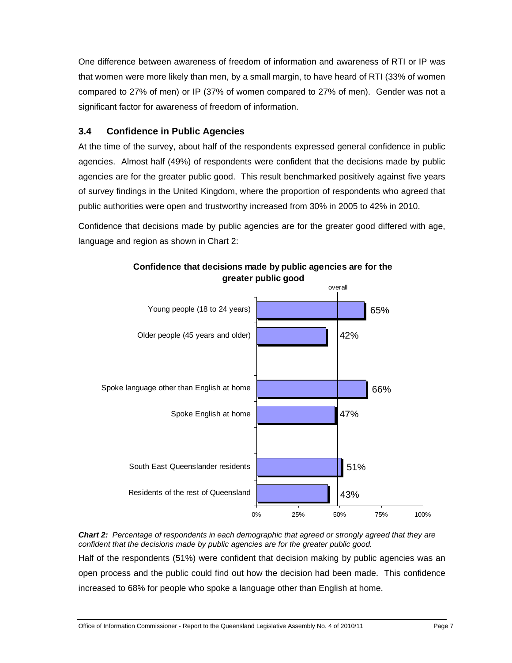One difference between awareness of freedom of information and awareness of RTI or IP was that women were more likely than men, by a small margin, to have heard of RTI (33% of women compared to 27% of men) or IP (37% of women compared to 27% of men). Gender was not a significant factor for awareness of freedom of information.

### **3.4 Confidence in Public Agencies**

At the time of the survey, about half of the respondents expressed general confidence in public agencies. Almost half (49%) of respondents were confident that the decisions made by public agencies are for the greater public good. This result benchmarked positively against five years of survey findings in the United Kingdom, where the proportion of respondents who agreed that public authorities were open and trustworthy increased from 30% in 2005 to 42% in 2010.

Confidence that decisions made by public agencies are for the greater good differed with age, language and region as shown in Chart 2:



**Confidence that decisions made by public agencies are for the greater public good**

*Chart 2: Percentage of respondents in each demographic that agreed or strongly agreed that they are confident that the decisions made by public agencies are for the greater public good.*  Half of the respondents (51%) were confident that decision making by public agencies was an open process and the public could find out how the decision had been made. This confidence increased to 68% for people who spoke a language other than English at home.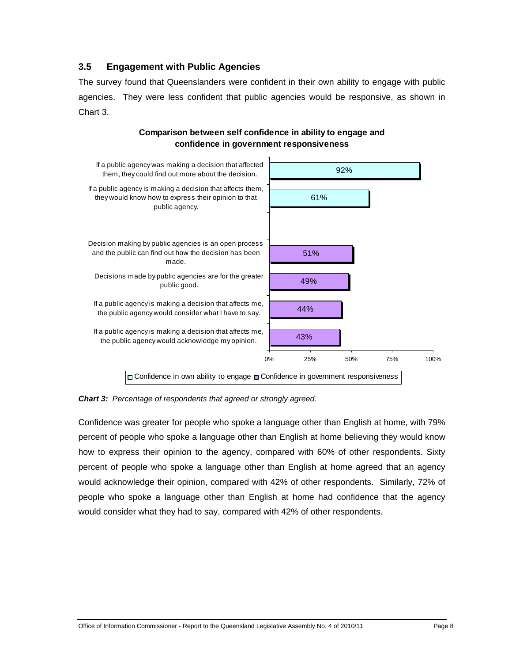### **3.5 Engagement with Public Agencies**

The survey found that Queenslanders were confident in their own ability to engage with public agencies. They were less confident that public agencies would be responsive, as shown in Chart 3.



#### **Comparison between self confidence in ability to engage and confidence in government responsiveness**

*Chart 3: Percentage of respondents that agreed or strongly agreed.* 

Confidence was greater for people who spoke a language other than English at home, with 79% percent of people who spoke a language other than English at home believing they would know how to express their opinion to the agency, compared with 60% of other respondents. Sixty percent of people who spoke a language other than English at home agreed that an agency would acknowledge their opinion, compared with 42% of other respondents. Similarly, 72% of people who spoke a language other than English at home had confidence that the agency would consider what they had to say, compared with 42% of other respondents.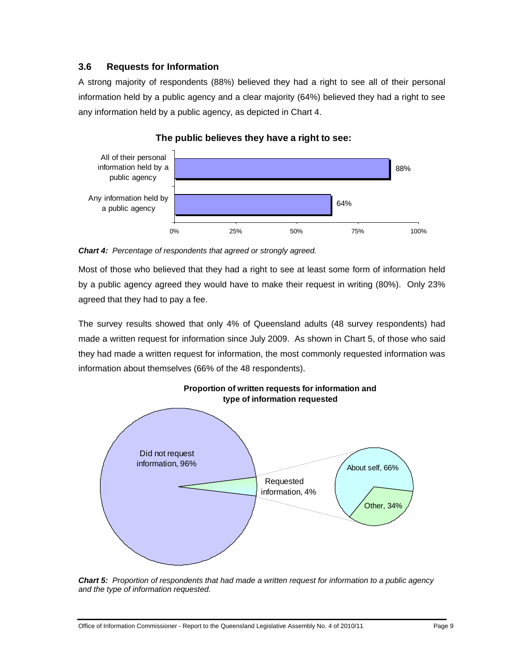### **3.6 Requests for Information**

A strong majority of respondents (88%) believed they had a right to see all of their personal information held by a public agency and a clear majority (64%) believed they had a right to see any information held by a public agency, as depicted in Chart 4.



### **The public believes they have a right to see:**

*Chart 4: Percentage of respondents that agreed or strongly agreed.* 

Most of those who believed that they had a right to see at least some form of information held by a public agency agreed they would have to make their request in writing (80%). Only 23% agreed that they had to pay a fee.

The survey results showed that only 4% of Queensland adults (48 survey respondents) had made a written request for information since July 2009. As shown in Chart 5, of those who said they had made a written request for information, the most commonly requested information was information about themselves (66% of the 48 respondents).



*Chart 5: Proportion of respondents that had made a written request for information to a public agency and the type of information requested.*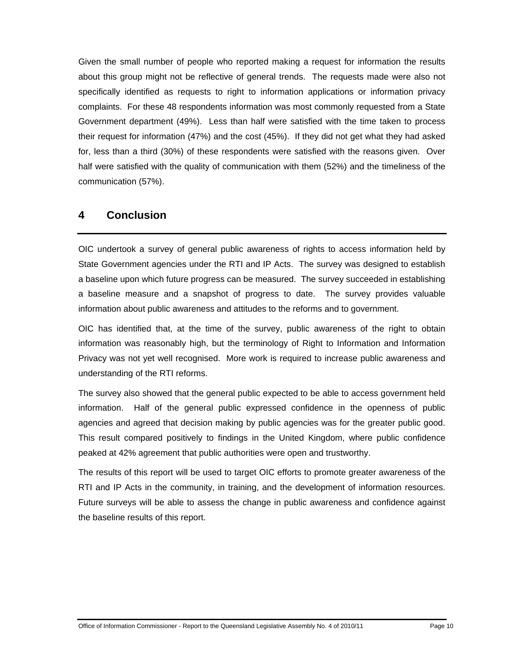Given the small number of people who reported making a request for information the results about this group might not be reflective of general trends. The requests made were also not specifically identified as requests to right to information applications or information privacy complaints. For these 48 respondents information was most commonly requested from a State Government department (49%). Less than half were satisfied with the time taken to process their request for information (47%) and the cost (45%). If they did not get what they had asked for, less than a third (30%) of these respondents were satisfied with the reasons given. Over half were satisfied with the quality of communication with them (52%) and the timeliness of the communication (57%).

### **4 Conclusion**

OIC undertook a survey of general public awareness of rights to access information held by State Government agencies under the RTI and IP Acts. The survey was designed to establish a baseline upon which future progress can be measured. The survey succeeded in establishing a baseline measure and a snapshot of progress to date. The survey provides valuable information about public awareness and attitudes to the reforms and to government.

OIC has identified that, at the time of the survey, public awareness of the right to obtain information was reasonably high, but the terminology of Right to Information and Information Privacy was not yet well recognised. More work is required to increase public awareness and understanding of the RTI reforms.

The survey also showed that the general public expected to be able to access government held information. Half of the general public expressed confidence in the openness of public agencies and agreed that decision making by public agencies was for the greater public good. This result compared positively to findings in the United Kingdom, where public confidence peaked at 42% agreement that public authorities were open and trustworthy.

The results of this report will be used to target OIC efforts to promote greater awareness of the RTI and IP Acts in the community, in training, and the development of information resources. Future surveys will be able to assess the change in public awareness and confidence against the baseline results of this report.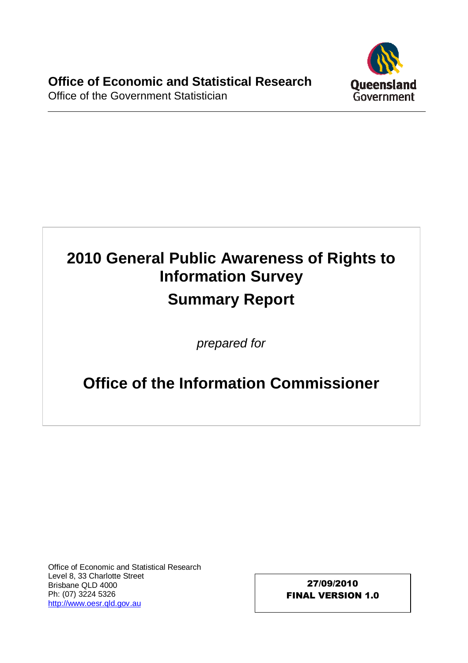

# **2010 General Public Awareness of Rights to Information Survey Summary Report**

prepared for

# **Office of the Information Commissioner**

Office of Economic and Statistical Research Level 8, 33 Charlotte Street Brisbane QLD 4000 Ph: (07) 3224 5326 [http://www.oesr.qld.gov.au](http://www.oesr.qld.gov.au/)

27/09/2010 FINAL VERSION 1.0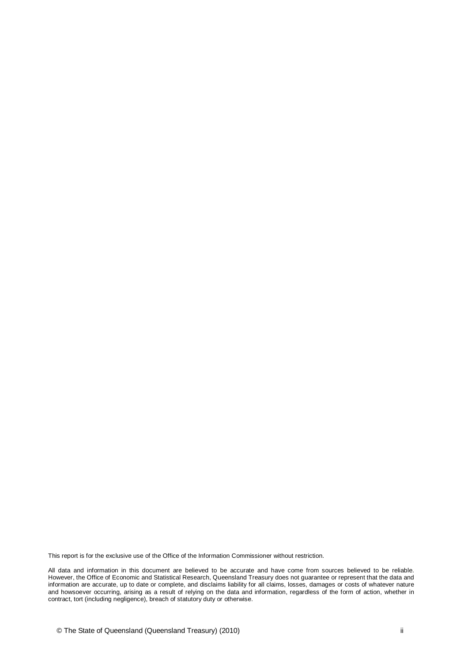This report is for the exclusive use of the Office of the Information Commissioner without restriction.

All data and information in this document are believed to be accurate and have come from sources believed to be reliable. However, the Office of Economic and Statistical Research, Queensland Treasury does not guarantee or represent that the data and information are accurate, up to date or complete, and disclaims liability for all claims, losses, damages or costs of whatever nature and howsoever occurring, arising as a result of relying on the data and information, regardless of the form of action, whether in contract, tort (including negligence), breach of statutory duty or otherwise.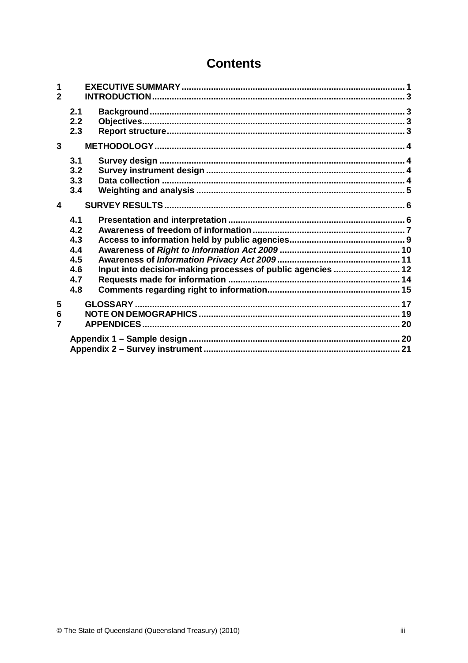## **Contents**

| 1<br>$\overline{2}$ |                                                                                                                     |  |
|---------------------|---------------------------------------------------------------------------------------------------------------------|--|
|                     | 2.1<br>2.2<br>2.3                                                                                                   |  |
| 3                   |                                                                                                                     |  |
|                     | 3.1<br>3.2<br>3.3<br>3.4                                                                                            |  |
| 4                   |                                                                                                                     |  |
|                     | 4.1<br>4.2<br>4.3<br>4.4<br>4.5<br>Input into decision-making processes of public agencies  12<br>4.6<br>4.7<br>4.8 |  |
| 5<br>6<br>7         |                                                                                                                     |  |
|                     |                                                                                                                     |  |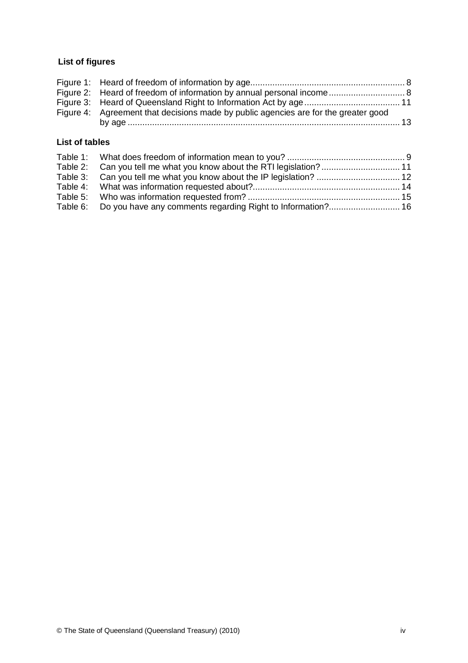### **List of figures**

| Figure 4: Agreement that decisions made by public agencies are for the greater good |  |
|-------------------------------------------------------------------------------------|--|
|                                                                                     |  |

### **List of tables**

| Table 2: Can you tell me what you know about the RTI legislation?  11 |  |
|-----------------------------------------------------------------------|--|
| Table 3: Can you tell me what you know about the IP legislation?  12  |  |
|                                                                       |  |
|                                                                       |  |
| Table 6: Do you have any comments regarding Right to Information? 16  |  |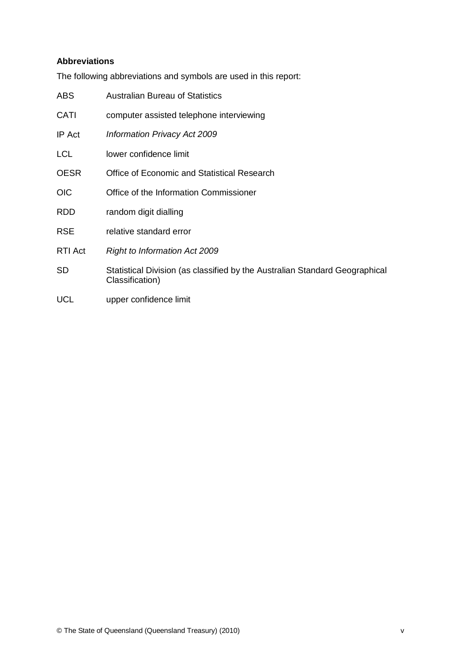### **Abbreviations**

The following abbreviations and symbols are used in this report:

| ABS         | <b>Australian Bureau of Statistics</b>                                                         |
|-------------|------------------------------------------------------------------------------------------------|
| CATI        | computer assisted telephone interviewing                                                       |
| IP Act      | Information Privacy Act 2009                                                                   |
| <b>LCL</b>  | lower confidence limit                                                                         |
| <b>OESR</b> | Office of Economic and Statistical Research                                                    |
| <b>OIC</b>  | Office of the Information Commissioner                                                         |
| <b>RDD</b>  | random digit dialling                                                                          |
| <b>RSE</b>  | relative standard error                                                                        |
| RTI Act     | <b>Right to Information Act 2009</b>                                                           |
| <b>SD</b>   | Statistical Division (as classified by the Australian Standard Geographical<br>Classification) |
| <b>UCL</b>  | upper confidence limit                                                                         |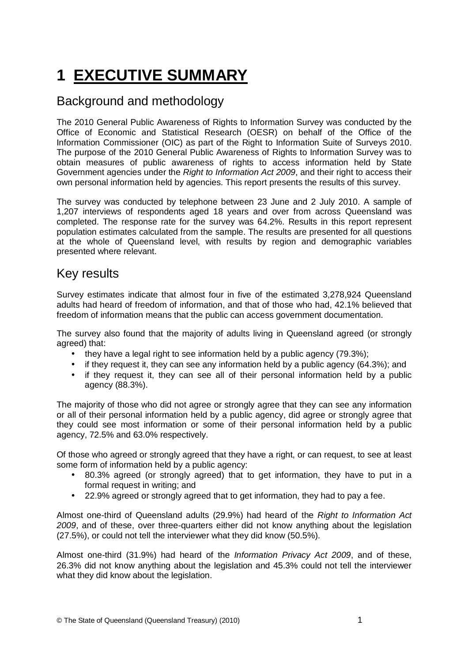# <span id="page-21-0"></span>**1 EXECUTIVE SUMMARY**

# Background and methodology

The 2010 General Public Awareness of Rights to Information Survey was conducted by the Office of Economic and Statistical Research (OESR) on behalf of the Office of the Information Commissioner (OIC) as part of the Right to Information Suite of Surveys 2010. The purpose of the 2010 General Public Awareness of Rights to Information Survey was to obtain measures of public awareness of rights to access information held by State Government agencies under the Right to Information Act 2009, and their right to access their own personal information held by agencies. This report presents the results of this survey.

The survey was conducted by telephone between 23 June and 2 July 2010. A sample of 1,207 interviews of respondents aged 18 years and over from across Queensland was completed. The response rate for the survey was 64.2%. Results in this report represent population estimates calculated from the sample. The results are presented for all questions at the whole of Queensland level, with results by region and demographic variables presented where relevant.

## Key results

Survey estimates indicate that almost four in five of the estimated 3,278,924 Queensland adults had heard of freedom of information, and that of those who had, 42.1% believed that freedom of information means that the public can access government documentation.

The survey also found that the majority of adults living in Queensland agreed (or strongly agreed) that:

- they have a legal right to see information held by a public agency (79.3%);
- if they request it, they can see any information held by a public agency (64.3%); and
- if they request it, they can see all of their personal information held by a public agency (88.3%).

The majority of those who did not agree or strongly agree that they can see any information or all of their personal information held by a public agency, did agree or strongly agree that they could see most information or some of their personal information held by a public agency, 72.5% and 63.0% respectively.

Of those who agreed or strongly agreed that they have a right, or can request, to see at least some form of information held by a public agency:

- 80.3% agreed (or strongly agreed) that to get information, they have to put in a formal request in writing; and
- 22.9% agreed or strongly agreed that to get information, they had to pay a fee.

Almost one-third of Queensland adults (29.9%) had heard of the Right to Information Act 2009, and of these, over three-quarters either did not know anything about the legislation (27.5%), or could not tell the interviewer what they did know (50.5%).

Almost one-third (31.9%) had heard of the Information Privacy Act 2009, and of these, 26.3% did not know anything about the legislation and 45.3% could not tell the interviewer what they did know about the legislation.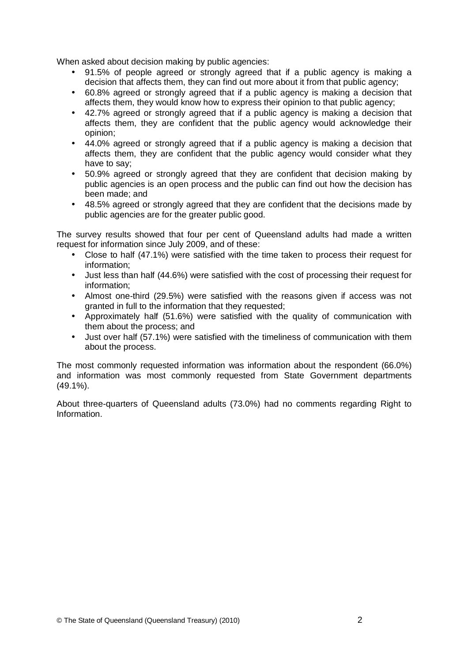When asked about decision making by public agencies:

- 91.5% of people agreed or strongly agreed that if a public agency is making a decision that affects them, they can find out more about it from that public agency;
- 60.8% agreed or strongly agreed that if a public agency is making a decision that affects them, they would know how to express their opinion to that public agency;
- 42.7% agreed or strongly agreed that if a public agency is making a decision that affects them, they are confident that the public agency would acknowledge their opinion;
- 44.0% agreed or strongly agreed that if a public agency is making a decision that affects them, they are confident that the public agency would consider what they have to say;
- 50.9% agreed or strongly agreed that they are confident that decision making by public agencies is an open process and the public can find out how the decision has been made; and
- 48.5% agreed or strongly agreed that they are confident that the decisions made by public agencies are for the greater public good.

The survey results showed that four per cent of Queensland adults had made a written request for information since July 2009, and of these:

- Close to half (47.1%) were satisfied with the time taken to process their request for information;
- Just less than half (44.6%) were satisfied with the cost of processing their request for information;
- Almost one-third (29.5%) were satisfied with the reasons given if access was not granted in full to the information that they requested;
- Approximately half (51.6%) were satisfied with the quality of communication with them about the process; and
- Just over half (57.1%) were satisfied with the timeliness of communication with them about the process.

The most commonly requested information was information about the respondent (66.0%) and information was most commonly requested from State Government departments (49.1%).

About three-quarters of Queensland adults (73.0%) had no comments regarding Right to Information.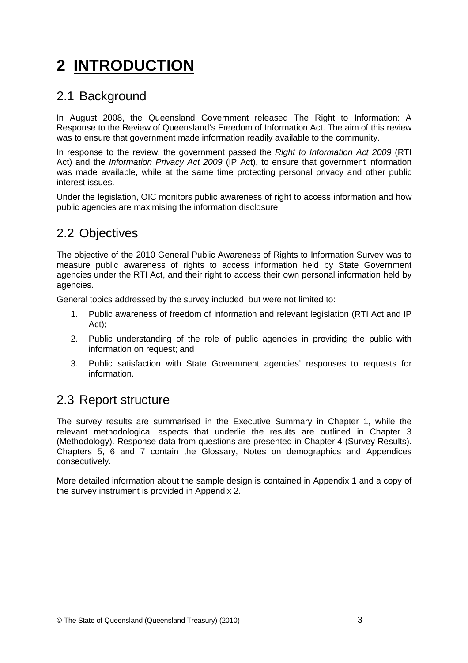# <span id="page-23-0"></span>**2 INTRODUCTION**

## 2.1 Background

In August 2008, the Queensland Government released The Right to Information: A Response to the Review of Queensland's Freedom of Information Act. The aim of this review was to ensure that government made information readily available to the community.

In response to the review, the government passed the Right to Information Act 2009 (RTI Act) and the Information Privacy Act 2009 (IP Act), to ensure that government information was made available, while at the same time protecting personal privacy and other public interest issues.

Under the legislation, OIC monitors public awareness of right to access information and how public agencies are maximising the information disclosure.

# 2.2 Objectives

The objective of the 2010 General Public Awareness of Rights to Information Survey was to measure public awareness of rights to access information held by State Government agencies under the RTI Act, and their right to access their own personal information held by agencies.

General topics addressed by the survey included, but were not limited to:

- 1. Public awareness of freedom of information and relevant legislation (RTI Act and IP Act);
- 2. Public understanding of the role of public agencies in providing the public with information on request; and
- 3. Public satisfaction with State Government agencies' responses to requests for information.

### 2.3 Report structure

The survey results are summarised in the Executive Summary in Chapter 1, while the relevant methodological aspects that underlie the results are outlined in Chapter 3 (Methodology). Response data from questions are presented in Chapter 4 (Survey Results). Chapters 5, 6 and 7 contain the Glossary, Notes on demographics and Appendices consecutively.

More detailed information about the sample design is contained in Appendix 1 and a copy of the survey instrument is provided in Appendix 2.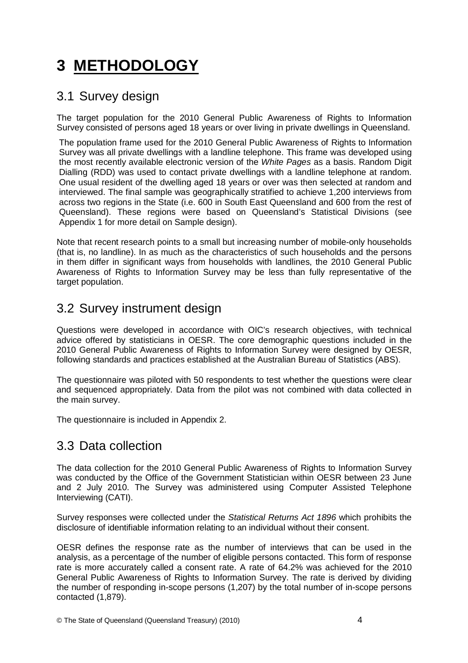# <span id="page-24-0"></span>**3 METHODOLOGY**

## 3.1 Survey design

The target population for the 2010 General Public Awareness of Rights to Information Survey consisted of persons aged 18 years or over living in private dwellings in Queensland.

The population frame used for the 2010 General Public Awareness of Rights to Information Survey was all private dwellings with a landline telephone. This frame was developed using the most recently available electronic version of the White Pages as a basis. Random Digit Dialling (RDD) was used to contact private dwellings with a landline telephone at random. One usual resident of the dwelling aged 18 years or over was then selected at random and interviewed. The final sample was geographically stratified to achieve 1,200 interviews from across two regions in the State (i.e. 600 in South East Queensland and 600 from the rest of Queensland). These regions were based on Queensland's Statistical Divisions (see Appendix 1 for more detail on Sample design).

Note that recent research points to a small but increasing number of mobile-only households (that is, no landline). In as much as the characteristics of such households and the persons in them differ in significant ways from households with landlines, the 2010 General Public Awareness of Rights to Information Survey may be less than fully representative of the target population.

# 3.2 Survey instrument design

Questions were developed in accordance with OIC's research objectives, with technical advice offered by statisticians in OESR. The core demographic questions included in the 2010 General Public Awareness of Rights to Information Survey were designed by OESR, following standards and practices established at the Australian Bureau of Statistics (ABS).

The questionnaire was piloted with 50 respondents to test whether the questions were clear and sequenced appropriately. Data from the pilot was not combined with data collected in the main survey.

The questionnaire is included in Appendix 2.

# 3.3 Data collection

The data collection for the 2010 General Public Awareness of Rights to Information Survey was conducted by the Office of the Government Statistician within OESR between 23 June and 2 July 2010. The Survey was administered using Computer Assisted Telephone Interviewing (CATI).

Survey responses were collected under the Statistical Returns Act 1896 which prohibits the disclosure of identifiable information relating to an individual without their consent.

OESR defines the response rate as the number of interviews that can be used in the analysis, as a percentage of the number of eligible persons contacted. This form of response rate is more accurately called a consent rate. A rate of 64.2% was achieved for the 2010 General Public Awareness of Rights to Information Survey. The rate is derived by dividing the number of responding in-scope persons (1,207) by the total number of in-scope persons contacted (1,879).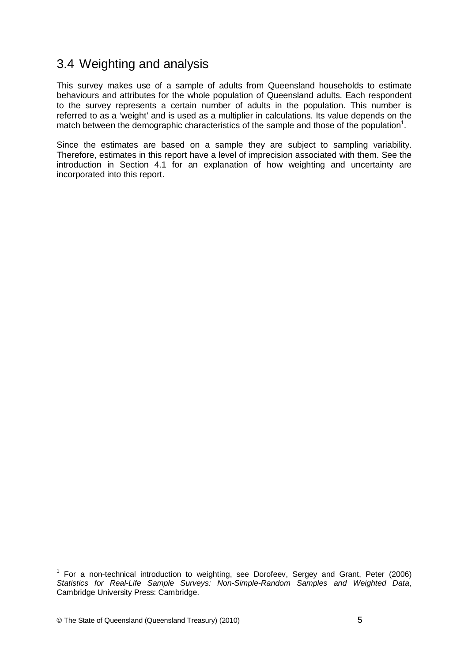## <span id="page-25-0"></span>3.4 Weighting and analysis

This survey makes use of a sample of adults from Queensland households to estimate behaviours and attributes for the whole population of Queensland adults. Each respondent to the survey represents a certain number of adults in the population. This number is referred to as a 'weight' and is used as a multiplier in calculations. Its value depends on the match between the demographic characteristics of the sample and those of the population<sup>1</sup>.

Since the estimates are based on a sample they are subject to sampling variability. Therefore, estimates in this report have a level of imprecision associated with them. See the introduction in Section 4.1 for an explanation of how weighting and uncertainty are incorporated into this report.

 $\overline{a}$ 

<sup>&</sup>lt;sup>1</sup> For a non-technical introduction to weighting, see Dorofeev, Sergey and Grant, Peter (2006) Statistics for Real-Life Sample Surveys: Non-Simple-Random Samples and Weighted Data, Cambridge University Press: Cambridge.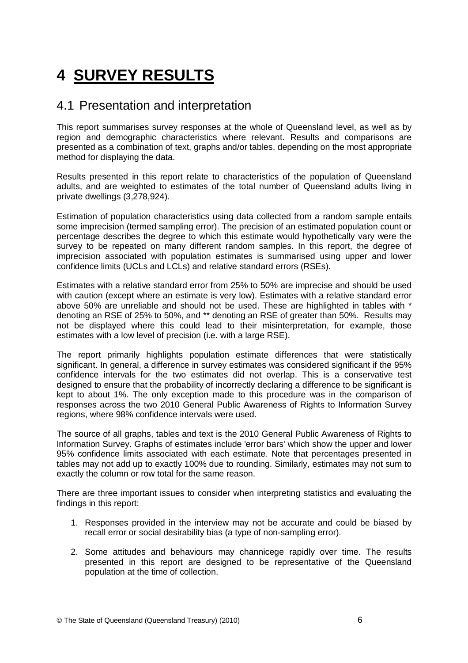# <span id="page-26-0"></span>**4 SURVEY RESULTS**

## 4.1 Presentation and interpretation

This report summarises survey responses at the whole of Queensland level, as well as by region and demographic characteristics where relevant. Results and comparisons are presented as a combination of text, graphs and/or tables, depending on the most appropriate method for displaying the data.

Results presented in this report relate to characteristics of the population of Queensland adults, and are weighted to estimates of the total number of Queensland adults living in private dwellings (3,278,924).

Estimation of population characteristics using data collected from a random sample entails some imprecision (termed sampling error). The precision of an estimated population count or percentage describes the degree to which this estimate would hypothetically vary were the survey to be repeated on many different random samples. In this report, the degree of imprecision associated with population estimates is summarised using upper and lower confidence limits (UCLs and LCLs) and relative standard errors (RSEs).

Estimates with a relative standard error from 25% to 50% are imprecise and should be used with caution (except where an estimate is very low). Estimates with a relative standard error above 50% are unreliable and should not be used. These are highlighted in tables with \* denoting an RSE of 25% to 50%, and \*\* denoting an RSE of greater than 50%. Results may not be displayed where this could lead to their misinterpretation, for example, those estimates with a low level of precision (i.e. with a large RSE).

The report primarily highlights population estimate differences that were statistically significant. In general, a difference in survey estimates was considered significant if the 95% confidence intervals for the two estimates did not overlap. This is a conservative test designed to ensure that the probability of incorrectly declaring a difference to be significant is kept to about 1%. The only exception made to this procedure was in the comparison of responses across the two 2010 General Public Awareness of Rights to Information Survey regions, where 98% confidence intervals were used.

The source of all graphs, tables and text is the 2010 General Public Awareness of Rights to Information Survey. Graphs of estimates include 'error bars' which show the upper and lower 95% confidence limits associated with each estimate. Note that percentages presented in tables may not add up to exactly 100% due to rounding. Similarly, estimates may not sum to exactly the column or row total for the same reason.

There are three important issues to consider when interpreting statistics and evaluating the findings in this report:

- 1. Responses provided in the interview may not be accurate and could be biased by recall error or social desirability bias (a type of non-sampling error).
- 2. Some attitudes and behaviours may channicege rapidly over time. The results presented in this report are designed to be representative of the Queensland population at the time of collection.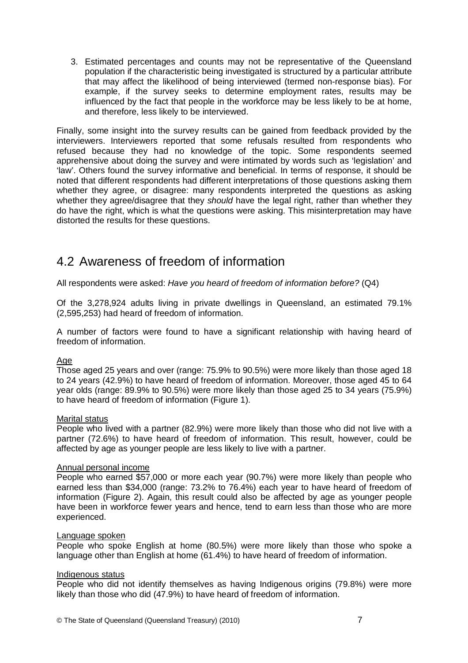<span id="page-27-0"></span>3. Estimated percentages and counts may not be representative of the Queensland population if the characteristic being investigated is structured by a particular attribute that may affect the likelihood of being interviewed (termed non-response bias). For example, if the survey seeks to determine employment rates, results may be influenced by the fact that people in the workforce may be less likely to be at home, and therefore, less likely to be interviewed.

Finally, some insight into the survey results can be gained from feedback provided by the interviewers. Interviewers reported that some refusals resulted from respondents who refused because they had no knowledge of the topic. Some respondents seemed apprehensive about doing the survey and were intimated by words such as 'legislation' and 'law'. Others found the survey informative and beneficial. In terms of response, it should be noted that different respondents had different interpretations of those questions asking them whether they agree, or disagree: many respondents interpreted the questions as asking whether they agree/disagree that they should have the legal right, rather than whether they do have the right, which is what the questions were asking. This misinterpretation may have distorted the results for these questions.

# 4.2 Awareness of freedom of information

All respondents were asked: Have you heard of freedom of information before? (Q4)

Of the 3,278,924 adults living in private dwellings in Queensland, an estimated 79.1% (2,595,253) had heard of freedom of information.

A number of factors were found to have a significant relationship with having heard of freedom of information.

### Age

Those aged 25 years and over (range: 75.9% to 90.5%) were more likely than those aged 18 to 24 years (42.9%) to have heard of freedom of information. Moreover, those aged 45 to 64 year olds (range: 89.9% to 90.5%) were more likely than those aged 25 to 34 years (75.9%) to have heard of freedom of information (Figure 1).

#### Marital status

People who lived with a partner (82.9%) were more likely than those who did not live with a partner (72.6%) to have heard of freedom of information. This result, however, could be affected by age as younger people are less likely to live with a partner.

#### Annual personal income

People who earned \$57,000 or more each year (90.7%) were more likely than people who earned less than \$34,000 (range: 73.2% to 76.4%) each year to have heard of freedom of information (Figure 2). Again, this result could also be affected by age as younger people have been in workforce fewer years and hence, tend to earn less than those who are more experienced.

#### Language spoken

People who spoke English at home (80.5%) were more likely than those who spoke a language other than English at home (61.4%) to have heard of freedom of information.

#### Indigenous status

People who did not identify themselves as having Indigenous origins (79.8%) were more likely than those who did (47.9%) to have heard of freedom of information.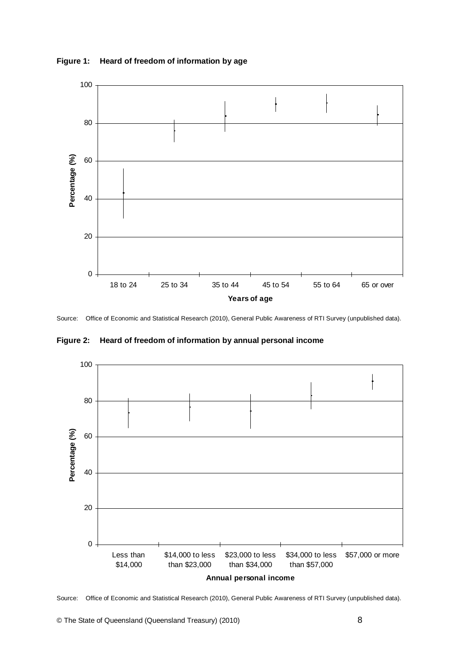<span id="page-28-0"></span>



Source: Office of Economic and Statistical Research (2010), General Public Awareness of RTI Survey (unpublished data).

**Figure 2: Heard of freedom of information by annual personal income** 



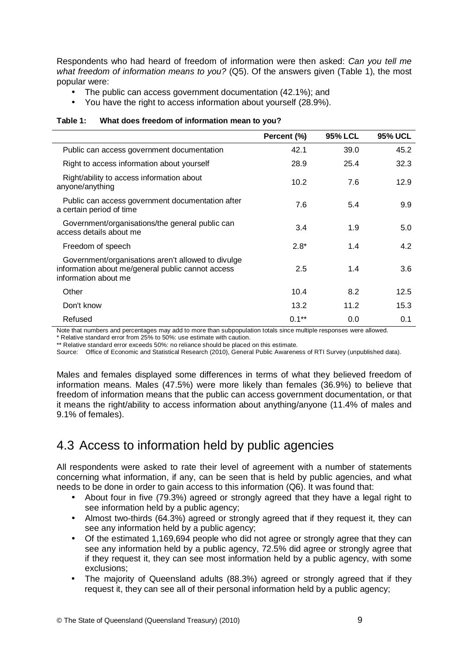<span id="page-29-0"></span>Respondents who had heard of freedom of information were then asked: Can you tell me what freedom of information means to you? (Q5). Of the answers given (Table 1), the most popular were:

- The public can access government documentation (42.1%); and
- You have the right to access information about yourself (28.9%).

|                                                                                                                                 | Percent (%) | <b>95% LCL</b> | <b>95% UCL</b> |
|---------------------------------------------------------------------------------------------------------------------------------|-------------|----------------|----------------|
| Public can access government documentation                                                                                      | 42.1        | 39.0           | 45.2           |
| Right to access information about yourself                                                                                      | 28.9        | 25.4           | 32.3           |
| Right/ability to access information about<br>anyone/anything                                                                    | 10.2        | 7.6            | 12.9           |
| Public can access government documentation after<br>a certain period of time                                                    | 7.6         | 5.4            | 9.9            |
| Government/organisations/the general public can<br>access details about me                                                      | 3.4         | 1.9            | 5.0            |
| Freedom of speech                                                                                                               | $2.8*$      | 1.4            | 4.2            |
| Government/organisations aren't allowed to divulge<br>information about me/general public cannot access<br>information about me | 2.5         | 1.4            | 3.6            |
| Other                                                                                                                           | 10.4        | 8.2            | 12.5           |
| Don't know                                                                                                                      | 13.2        | 11.2           | 15.3           |
| Refused                                                                                                                         | $0.1**$     | 0.0            | 0.1            |

#### **Table 1: What does freedom of information mean to you?**

Note that numbers and percentages may add to more than subpopulation totals since multiple responses were allowed.

\* Relative standard error from 25% to 50%: use estimate with caution.

\*\* Relative standard error exceeds 50%: no reliance should be placed on this estimate.

Source: Office of Economic and Statistical Research (2010), General Public Awareness of RTI Survey (unpublished data).

Males and females displayed some differences in terms of what they believed freedom of information means. Males (47.5%) were more likely than females (36.9%) to believe that freedom of information means that the public can access government documentation, or that it means the right/ability to access information about anything/anyone (11.4% of males and 9.1% of females).

# 4.3 Access to information held by public agencies

All respondents were asked to rate their level of agreement with a number of statements concerning what information, if any, can be seen that is held by public agencies, and what needs to be done in order to gain access to this information (Q6). It was found that:

- About four in five (79.3%) agreed or strongly agreed that they have a legal right to see information held by a public agency;
- Almost two-thirds (64.3%) agreed or strongly agreed that if they request it, they can see any information held by a public agency;
- Of the estimated 1,169,694 people who did not agree or strongly agree that they can see any information held by a public agency, 72.5% did agree or strongly agree that if they request it, they can see most information held by a public agency, with some exclusions;
- The majority of Queensland adults (88.3%) agreed or strongly agreed that if they request it, they can see all of their personal information held by a public agency;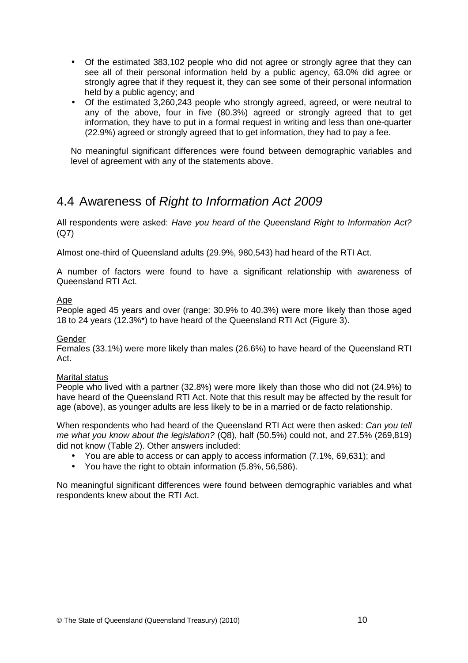- <span id="page-30-0"></span>• Of the estimated 383,102 people who did not agree or strongly agree that they can see all of their personal information held by a public agency, 63.0% did agree or strongly agree that if they request it, they can see some of their personal information held by a public agency; and
- Of the estimated 3,260,243 people who strongly agreed, agreed, or were neutral to any of the above, four in five (80.3%) agreed or strongly agreed that to get information, they have to put in a formal request in writing and less than one-quarter (22.9%) agreed or strongly agreed that to get information, they had to pay a fee.

No meaningful significant differences were found between demographic variables and level of agreement with any of the statements above.

## 4.4 Awareness of Right to Information Act 2009

All respondents were asked: Have you heard of the Queensland Right to Information Act? (Q7)

Almost one-third of Queensland adults (29.9%, 980,543) had heard of the RTI Act.

A number of factors were found to have a significant relationship with awareness of Queensland RTI Act.

### Age

People aged 45 years and over (range: 30.9% to 40.3%) were more likely than those aged 18 to 24 years (12.3%\*) to have heard of the Queensland RTI Act (Figure 3).

### Gender

Females (33.1%) were more likely than males (26.6%) to have heard of the Queensland RTI Act.

### Marital status

People who lived with a partner (32.8%) were more likely than those who did not (24.9%) to have heard of the Queensland RTI Act. Note that this result may be affected by the result for age (above), as younger adults are less likely to be in a married or de facto relationship.

When respondents who had heard of the Queensland RTI Act were then asked: Can you tell me what you know about the legislation? (Q8), half (50.5%) could not, and 27.5% (269,819) did not know (Table 2). Other answers included:

- You are able to access or can apply to access information (7.1%, 69,631); and
- You have the right to obtain information (5.8%, 56,586).

No meaningful significant differences were found between demographic variables and what respondents knew about the RTI Act.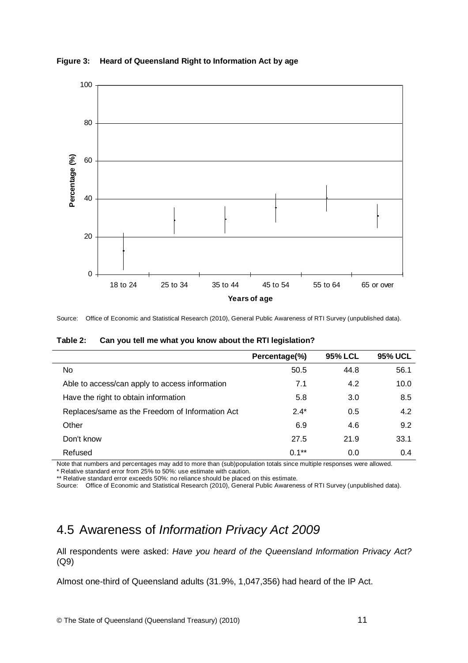

<span id="page-31-0"></span>**Figure 3: Heard of Queensland Right to Information Act by age** 

Source: Office of Economic and Statistical Research (2010), General Public Awareness of RTI Survey (unpublished data).

| Can you tell me what you know about the RTI legislation? | Table 2: |  |  |  |
|----------------------------------------------------------|----------|--|--|--|
|----------------------------------------------------------|----------|--|--|--|

|                                                 | Percentage(%) | <b>95% LCL</b> | <b>95% UCL</b> |
|-------------------------------------------------|---------------|----------------|----------------|
| No                                              | 50.5          | 44.8           | 56.1           |
| Able to access/can apply to access information  | 7.1           | 4.2            | 10.0           |
| Have the right to obtain information            | 5.8           | 3.0            | 8.5            |
| Replaces/same as the Freedom of Information Act | $2.4*$        | 0.5            | 4.2            |
| Other                                           | 6.9           | 4.6            | 9.2            |
| Don't know                                      | 27.5          | 21.9           | 33.1           |
| Refused                                         | $0.1**$       | 0.0            | 0.4            |

Note that numbers and percentages may add to more than (sub)population totals since multiple responses were allowed. \* Relative standard error from 25% to 50%: use estimate with caution.

\*\* Relative standard error exceeds 50%: no reliance should be placed on this estimate.

Source: Office of Economic and Statistical Research (2010), General Public Awareness of RTI Survey (unpublished data).

## 4.5 Awareness of Information Privacy Act 2009

All respondents were asked: Have you heard of the Queensland Information Privacy Act? (Q9)

Almost one-third of Queensland adults (31.9%, 1,047,356) had heard of the IP Act.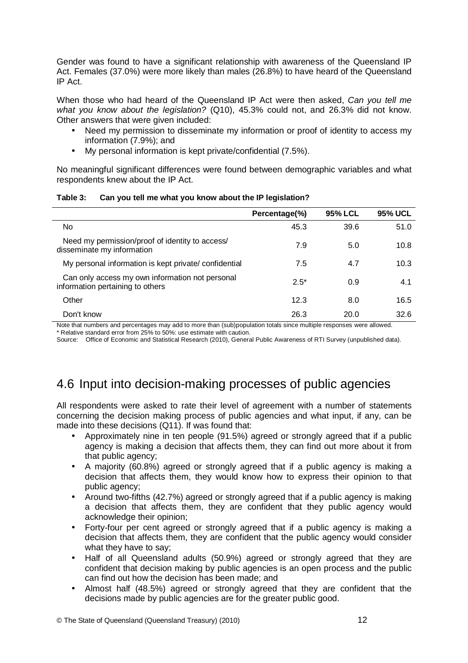<span id="page-32-0"></span>Gender was found to have a significant relationship with awareness of the Queensland IP Act. Females (37.0%) were more likely than males (26.8%) to have heard of the Queensland IP Act.

When those who had heard of the Queensland IP Act were then asked. Can you tell me what you know about the legislation? (Q10), 45.3% could not, and 26.3% did not know. Other answers that were given included:

- Need my permission to disseminate my information or proof of identity to access my information (7.9%); and
- My personal information is kept private/confidential (7.5%).

No meaningful significant differences were found between demographic variables and what respondents knew about the IP Act.

|                                                                                     | Percentage(%) | <b>95% LCL</b> | <b>95% UCL</b> |
|-------------------------------------------------------------------------------------|---------------|----------------|----------------|
| No                                                                                  | 45.3          | 39.6           | 51.0           |
| Need my permission/proof of identity to access/<br>disseminate my information       | 7.9           | 5.0            | 10.8           |
| My personal information is kept private/confidential                                | 7.5           | 4.7            | 10.3           |
| Can only access my own information not personal<br>information pertaining to others | $2.5*$        | 0.9            | 4.1            |
| Other                                                                               | 12.3          | 8.0            | 16.5           |
| Don't know                                                                          | 26.3          | 20.0           | 32.6           |

#### **Table 3: Can you tell me what you know about the IP legislation?**

Note that numbers and percentages may add to more than (sub)population totals since multiple responses were allowed. \* Relative standard error from 25% to 50%: use estimate with caution.

Source: Office of Economic and Statistical Research (2010), General Public Awareness of RTI Survey (unpublished data).

# 4.6 Input into decision-making processes of public agencies

All respondents were asked to rate their level of agreement with a number of statements concerning the decision making process of public agencies and what input, if any, can be made into these decisions (Q11). If was found that:

- Approximately nine in ten people (91.5%) agreed or strongly agreed that if a public agency is making a decision that affects them, they can find out more about it from that public agency;
- A majority (60.8%) agreed or strongly agreed that if a public agency is making a decision that affects them, they would know how to express their opinion to that public agency;
- Around two-fifths (42.7%) agreed or strongly agreed that if a public agency is making a decision that affects them, they are confident that they public agency would acknowledge their opinion;
- Forty-four per cent agreed or strongly agreed that if a public agency is making a decision that affects them, they are confident that the public agency would consider what they have to say;
- Half of all Queensland adults (50.9%) agreed or strongly agreed that they are confident that decision making by public agencies is an open process and the public can find out how the decision has been made; and
- Almost half (48.5%) agreed or strongly agreed that they are confident that the decisions made by public agencies are for the greater public good.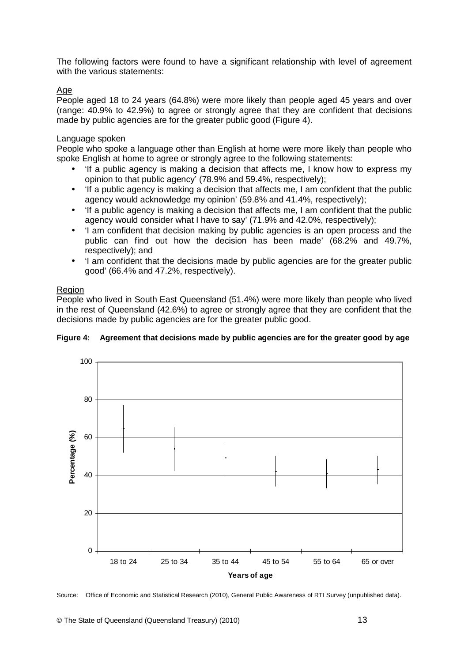<span id="page-33-0"></span>The following factors were found to have a significant relationship with level of agreement with the various statements:

### Age

People aged 18 to 24 years (64.8%) were more likely than people aged 45 years and over (range: 40.9% to 42.9%) to agree or strongly agree that they are confident that decisions made by public agencies are for the greater public good (Figure 4).

#### Language spoken

People who spoke a language other than English at home were more likely than people who spoke English at home to agree or strongly agree to the following statements:

- 'If a public agency is making a decision that affects me, I know how to express my opinion to that public agency' (78.9% and 59.4%, respectively);
- 'If a public agency is making a decision that affects me, I am confident that the public agency would acknowledge my opinion' (59.8% and 41.4%, respectively);
- If a public agency is making a decision that affects me, I am confident that the public agency would consider what I have to say' (71.9% and 42.0%, respectively);
- 'I am confident that decision making by public agencies is an open process and the public can find out how the decision has been made' (68.2% and 49.7%, respectively); and
- 'I am confident that the decisions made by public agencies are for the greater public good' (66.4% and 47.2%, respectively).

### Region

People who lived in South East Queensland (51.4%) were more likely than people who lived in the rest of Queensland (42.6%) to agree or strongly agree that they are confident that the decisions made by public agencies are for the greater public good.





Source: Office of Economic and Statistical Research (2010), General Public Awareness of RTI Survey (unpublished data).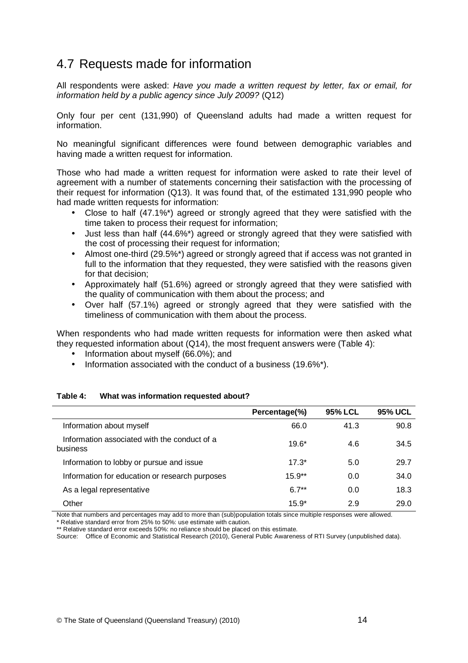## <span id="page-34-0"></span>4.7 Requests made for information

All respondents were asked: Have you made a written request by letter, fax or email, for information held by a public agency since July 2009? (Q12)

Only four per cent (131,990) of Queensland adults had made a written request for information.

No meaningful significant differences were found between demographic variables and having made a written request for information.

Those who had made a written request for information were asked to rate their level of agreement with a number of statements concerning their satisfaction with the processing of their request for information (Q13). It was found that, of the estimated 131,990 people who had made written requests for information:

- Close to half (47.1%\*) agreed or strongly agreed that they were satisfied with the time taken to process their request for information;
- Just less than half (44.6%\*) agreed or strongly agreed that they were satisfied with the cost of processing their request for information;
- Almost one-third (29.5%\*) agreed or strongly agreed that if access was not granted in full to the information that they requested, they were satisfied with the reasons given for that decision;
- Approximately half (51.6%) agreed or strongly agreed that they were satisfied with the quality of communication with them about the process; and
- Over half (57.1%) agreed or strongly agreed that they were satisfied with the timeliness of communication with them about the process.

When respondents who had made written requests for information were then asked what they requested information about (Q14), the most frequent answers were (Table 4):

- Information about myself (66.0%); and
- Information associated with the conduct of a business (19.6%\*).

#### **Table 4: What was information requested about?**

|                                                          | Percentage(%) | <b>95% LCL</b> | <b>95% UCL</b> |
|----------------------------------------------------------|---------------|----------------|----------------|
| Information about myself                                 | 66.0          | 41.3           | 90.8           |
| Information associated with the conduct of a<br>business | $19.6*$       | 4.6            | 34.5           |
| Information to lobby or pursue and issue                 | $17.3*$       | 5.0            | 29.7           |
| Information for education or research purposes           | $15.9**$      | 0.0            | 34.0           |
| As a legal representative                                | $6.7**$       | 0.0            | 18.3           |
| Other                                                    | $15.9*$       | 2.9            | 29.0           |

Note that numbers and percentages may add to more than (sub)population totals since multiple responses were allowed.

\* Relative standard error from 25% to 50%: use estimate with caution.

\*\* Relative standard error exceeds 50%: no reliance should be placed on this estimate.

Source: Office of Economic and Statistical Research (2010), General Public Awareness of RTI Survey (unpublished data).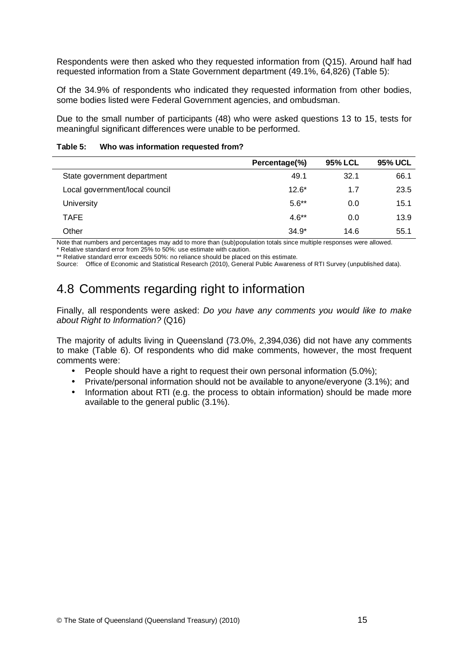<span id="page-35-0"></span>Respondents were then asked who they requested information from (Q15). Around half had requested information from a State Government department (49.1%, 64,826) (Table 5):

Of the 34.9% of respondents who indicated they requested information from other bodies, some bodies listed were Federal Government agencies, and ombudsman.

Due to the small number of participants (48) who were asked questions 13 to 15, tests for meaningful significant differences were unable to be performed.

| Table 5: | Who was information requested from? |
|----------|-------------------------------------|
|----------|-------------------------------------|

|                                | Percentage(%) | <b>95% LCL</b> | <b>95% UCL</b> |
|--------------------------------|---------------|----------------|----------------|
| State government department    | 49.1          | 32.1           | 66.1           |
| Local government/local council | $12.6*$       | 1.7            | 23.5           |
| University                     | $5.6**$       | 0.0            | 15.1           |
| <b>TAFE</b>                    | $4.6**$       | 0.0            | 13.9           |
| Other                          | $34.9*$       | 14.6           | 55.1           |

Note that numbers and percentages may add to more than (sub)population totals since multiple responses were allowed.

\* Relative standard error from 25% to 50%: use estimate with caution. \*\* Relative standard error exceeds 50%: no reliance should be placed on this estimate.

Source: Office of Economic and Statistical Research (2010), General Public Awareness of RTI Survey (unpublished data).

# 4.8 Comments regarding right to information

Finally, all respondents were asked: Do you have any comments you would like to make about Right to Information? (Q16)

The majority of adults living in Queensland (73.0%, 2,394,036) did not have any comments to make (Table 6). Of respondents who did make comments, however, the most frequent comments were:

- People should have a right to request their own personal information (5.0%);
- Private/personal information should not be available to anyone/everyone (3.1%); and
- Information about RTI (e.g. the process to obtain information) should be made more available to the general public (3.1%).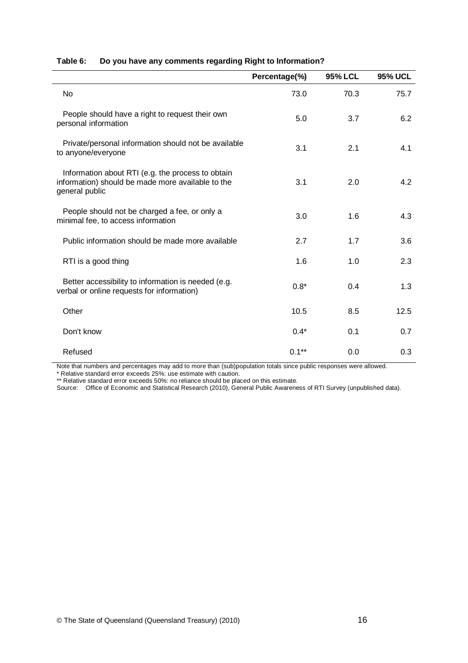|                                                                                                                          | Percentage(%) | <b>95% LCL</b> | <b>95% UCL</b> |
|--------------------------------------------------------------------------------------------------------------------------|---------------|----------------|----------------|
| <b>No</b>                                                                                                                | 73.0          | 70.3           | 75.7           |
| People should have a right to request their own<br>personal information                                                  | 5.0           | 3.7            | 6.2            |
| Private/personal information should not be available<br>to anyone/everyone                                               | 3.1           | 2.1            | 4.1            |
| Information about RTI (e.g. the process to obtain<br>information) should be made more available to the<br>general public | 3.1           | 2.0            | 4.2            |
| People should not be charged a fee, or only a<br>minimal fee, to access information                                      | 3.0           | 1.6            | 4.3            |
| Public information should be made more available                                                                         | 2.7           | 1.7            | 3.6            |
| RTI is a good thing                                                                                                      | 1.6           | 1.0            | 2.3            |
| Better accessibility to information is needed (e.g.<br>verbal or online requests for information)                        | $0.8*$        | 0.4            | 1.3            |
| Other                                                                                                                    | 10.5          | 8.5            | 12.5           |
| Don't know                                                                                                               | $0.4*$        | 0.1            | 0.7            |
| Refused                                                                                                                  | $0.1**$       | 0.0            | 0.3            |

#### <span id="page-36-0"></span>**Table 6: Do you have any comments regarding Right to Information?**

Note that numbers and percentages may add to more than (sub)population totals since public responses were allowed.

\* Relative standard error exceeds 25%: use estimate with caution.

\*\* Relative standard error exceeds 50%: no reliance should be placed on this estimate.

Source: Office of Economic and Statistical Research (2010), General Public Awareness of RTI Survey (unpublished data).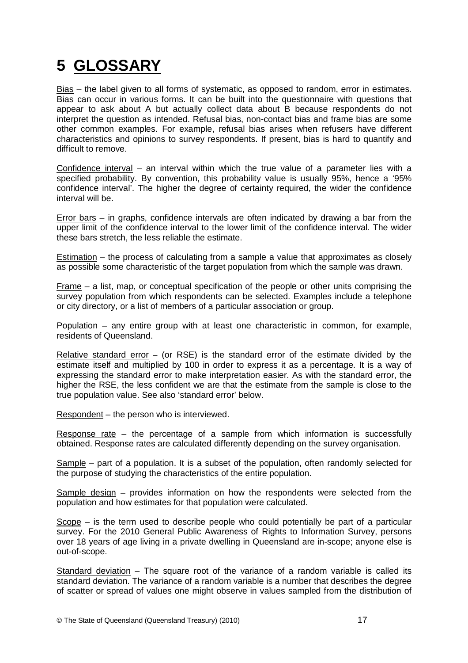# <span id="page-37-0"></span>**5 GLOSSARY**

Bias – the label given to all forms of systematic, as opposed to random, error in estimates. Bias can occur in various forms. It can be built into the questionnaire with questions that appear to ask about A but actually collect data about B because respondents do not interpret the question as intended. Refusal bias, non-contact bias and frame bias are some other common examples. For example, refusal bias arises when refusers have different characteristics and opinions to survey respondents. If present, bias is hard to quantify and difficult to remove.

Confidence interval – an interval within which the true value of a parameter lies with a specified probability. By convention, this probability value is usually 95%, hence a '95% confidence interval'. The higher the degree of certainty required, the wider the confidence interval will be.

Error bars – in graphs, confidence intervals are often indicated by drawing a bar from the upper limit of the confidence interval to the lower limit of the confidence interval. The wider these bars stretch, the less reliable the estimate.

Estimation – the process of calculating from a sample a value that approximates as closely as possible some characteristic of the target population from which the sample was drawn.

Frame – a list, map, or conceptual specification of the people or other units comprising the survey population from which respondents can be selected. Examples include a telephone or city directory, or a list of members of a particular association or group.

Population – any entire group with at least one characteristic in common, for example, residents of Queensland.

Relative standard error – (or RSE) is the standard error of the estimate divided by the estimate itself and multiplied by 100 in order to express it as a percentage. It is a way of expressing the standard error to make interpretation easier. As with the standard error, the higher the RSE, the less confident we are that the estimate from the sample is close to the true population value. See also 'standard error' below.

Respondent – the person who is interviewed.

Response rate – the percentage of a sample from which information is successfully obtained. Response rates are calculated differently depending on the survey organisation.

Sample – part of a population. It is a subset of the population, often randomly selected for the purpose of studying the characteristics of the entire population.

Sample design – provides information on how the respondents were selected from the population and how estimates for that population were calculated.

Scope – is the term used to describe people who could potentially be part of a particular survey. For the 2010 General Public Awareness of Rights to Information Survey, persons over 18 years of age living in a private dwelling in Queensland are in-scope; anyone else is out-of-scope.

Standard deviation – The square root of the variance of a random variable is called its standard deviation. The variance of a random variable is a number that describes the degree of scatter or spread of values one might observe in values sampled from the distribution of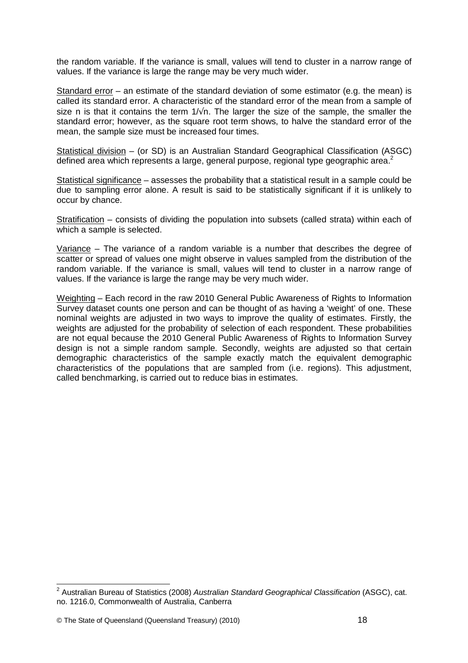the random variable. If the variance is small, values will tend to cluster in a narrow range of values. If the variance is large the range may be very much wider.

Standard error – an estimate of the standard deviation of some estimator (e.g. the mean) is called its standard error. A characteristic of the standard error of the mean from a sample of size n is that it contains the term  $1/\sqrt{n}$ . The larger the size of the sample, the smaller the standard error; however, as the square root term shows, to halve the standard error of the mean, the sample size must be increased four times.

Statistical division – (or SD) is an Australian Standard Geographical Classification (ASGC) defined area which represents a large, general purpose, regional type geographic area.<sup>2</sup>

Statistical significance – assesses the probability that a statistical result in a sample could be due to sampling error alone. A result is said to be statistically significant if it is unlikely to occur by chance.

Stratification – consists of dividing the population into subsets (called strata) within each of which a sample is selected.

Variance – The variance of a random variable is a number that describes the degree of scatter or spread of values one might observe in values sampled from the distribution of the random variable. If the variance is small, values will tend to cluster in a narrow range of values. If the variance is large the range may be very much wider.

Weighting – Each record in the raw 2010 General Public Awareness of Rights to Information Survey dataset counts one person and can be thought of as having a 'weight' of one. These nominal weights are adjusted in two ways to improve the quality of estimates. Firstly, the weights are adjusted for the probability of selection of each respondent. These probabilities are not equal because the 2010 General Public Awareness of Rights to Information Survey design is not a simple random sample. Secondly, weights are adjusted so that certain demographic characteristics of the sample exactly match the equivalent demographic characteristics of the populations that are sampled from (i.e. regions). This adjustment, called benchmarking, is carried out to reduce bias in estimates.

\_\_\_\_\_\_\_\_\_\_\_\_\_\_\_\_\_\_\_\_\_\_\_\_\_\_\_\_\_\_\_\_\_\_\_<br><sup>2</sup> Australian Bureau of Statistics (2008) *Australian Standard Geographical Classification* (ASGC), cat. no. 1216.0, Commonwealth of Australia, Canberra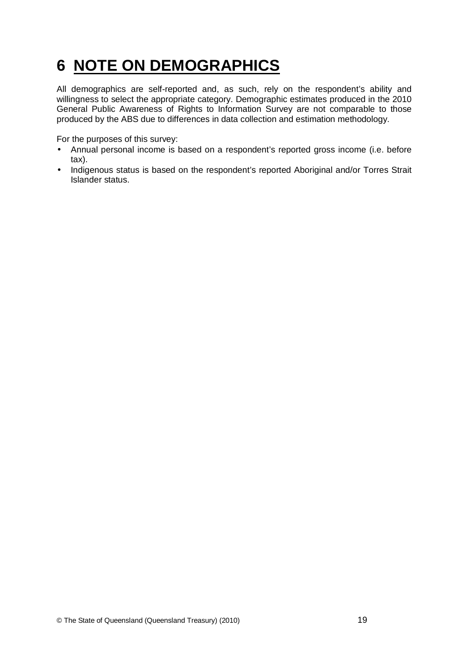# <span id="page-39-0"></span>**6 NOTE ON DEMOGRAPHICS**

All demographics are self-reported and, as such, rely on the respondent's ability and willingness to select the appropriate category. Demographic estimates produced in the 2010 General Public Awareness of Rights to Information Survey are not comparable to those produced by the ABS due to differences in data collection and estimation methodology.

For the purposes of this survey:

- Annual personal income is based on a respondent's reported gross income (i.e. before tax).
- Indigenous status is based on the respondent's reported Aboriginal and/or Torres Strait Islander status.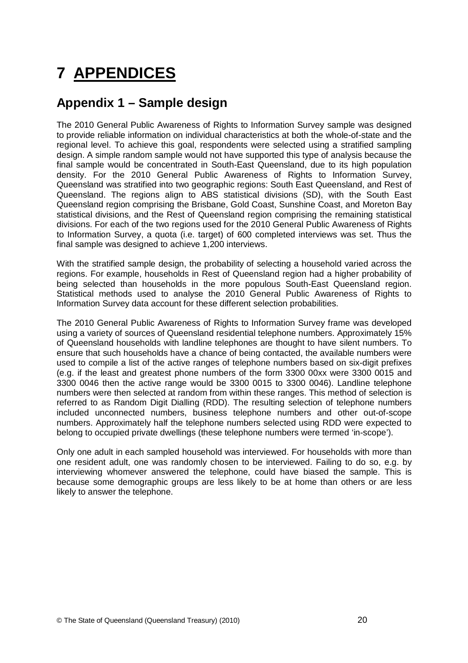# <span id="page-40-0"></span>**7 APPENDICES**

# **Appendix 1 – Sample design**

The 2010 General Public Awareness of Rights to Information Survey sample was designed to provide reliable information on individual characteristics at both the whole-of-state and the regional level. To achieve this goal, respondents were selected using a stratified sampling design. A simple random sample would not have supported this type of analysis because the final sample would be concentrated in South-East Queensland, due to its high population density. For the 2010 General Public Awareness of Rights to Information Survey, Queensland was stratified into two geographic regions: South East Queensland, and Rest of Queensland. The regions align to ABS statistical divisions (SD), with the South East Queensland region comprising the Brisbane, Gold Coast, Sunshine Coast, and Moreton Bay statistical divisions, and the Rest of Queensland region comprising the remaining statistical divisions. For each of the two regions used for the 2010 General Public Awareness of Rights to Information Survey, a quota (i.e. target) of 600 completed interviews was set. Thus the final sample was designed to achieve 1,200 interviews.

With the stratified sample design, the probability of selecting a household varied across the regions. For example, households in Rest of Queensland region had a higher probability of being selected than households in the more populous South-East Queensland region. Statistical methods used to analyse the 2010 General Public Awareness of Rights to Information Survey data account for these different selection probabilities.

The 2010 General Public Awareness of Rights to Information Survey frame was developed using a variety of sources of Queensland residential telephone numbers. Approximately 15% of Queensland households with landline telephones are thought to have silent numbers. To ensure that such households have a chance of being contacted, the available numbers were used to compile a list of the active ranges of telephone numbers based on six-digit prefixes (e.g. if the least and greatest phone numbers of the form 3300 00xx were 3300 0015 and 3300 0046 then the active range would be 3300 0015 to 3300 0046). Landline telephone numbers were then selected at random from within these ranges. This method of selection is referred to as Random Digit Dialling (RDD). The resulting selection of telephone numbers included unconnected numbers, business telephone numbers and other out-of-scope numbers. Approximately half the telephone numbers selected using RDD were expected to belong to occupied private dwellings (these telephone numbers were termed 'in-scope').

Only one adult in each sampled household was interviewed. For households with more than one resident adult, one was randomly chosen to be interviewed. Failing to do so, e.g. by interviewing whomever answered the telephone, could have biased the sample. This is because some demographic groups are less likely to be at home than others or are less likely to answer the telephone.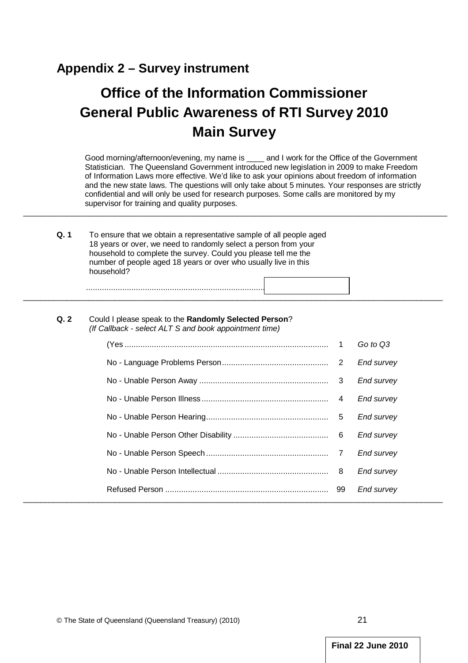## <span id="page-41-0"></span>**Appendix 2 – Survey instrument**

# **Office of the Information Commissioner General Public Awareness of RTI Survey 2010 Main Survey**

Good morning/afternoon/evening, my name is \_\_\_\_ and I work for the Office of the Government Statistician. The Queensland Government introduced new legislation in 2009 to make Freedom of Information Laws more effective. We'd like to ask your opinions about freedom of information and the new state laws. The questions will only take about 5 minutes. Your responses are strictly confidential and will only be used for research purposes. Some calls are monitored by my supervisor for training and quality purposes.

 $\_$  ,  $\_$  ,  $\_$  ,  $\_$  ,  $\_$  ,  $\_$  ,  $\_$  ,  $\_$  ,  $\_$  ,  $\_$  ,  $\_$  ,  $\_$  ,  $\_$  ,  $\_$  ,  $\_$  ,  $\_$  ,  $\_$  ,  $\_$  ,  $\_$  ,  $\_$  ,  $\_$  ,  $\_$  ,  $\_$  ,  $\_$  ,  $\_$  ,  $\_$  ,  $\_$  ,  $\_$  ,  $\_$  ,  $\_$  ,  $\_$  ,  $\_$  ,  $\_$  ,  $\_$  ,  $\_$  ,  $\_$  ,  $\_$  ,

 $\overline{\phantom{a}}$  , and the set of the set of the set of the set of the set of the set of the set of the set of the set of the set of the set of the set of the set of the set of the set of the set of the set of the set of the s

| Q.1 | To ensure that we obtain a representative sample of all people aged                                                               |
|-----|-----------------------------------------------------------------------------------------------------------------------------------|
|     | 18 years or over, we need to randomly select a person from your<br>household to complete the survey. Could you please tell me the |
|     | number of people aged 18 years or over who usually live in this<br>household?                                                     |
|     |                                                                                                                                   |

#### **Q. 2** Could I please speak to the **Randomly Selected Person**? (If Callback - select ALT S and book appointment time)

...........................................................................................................

|  |   | Go to Q3   |
|--|---|------------|
|  |   | End survey |
|  |   | End survey |
|  | 4 | End survey |
|  | 5 | End survey |
|  |   | End survey |
|  |   | End survey |
|  |   | End survey |
|  |   | End survey |
|  |   |            |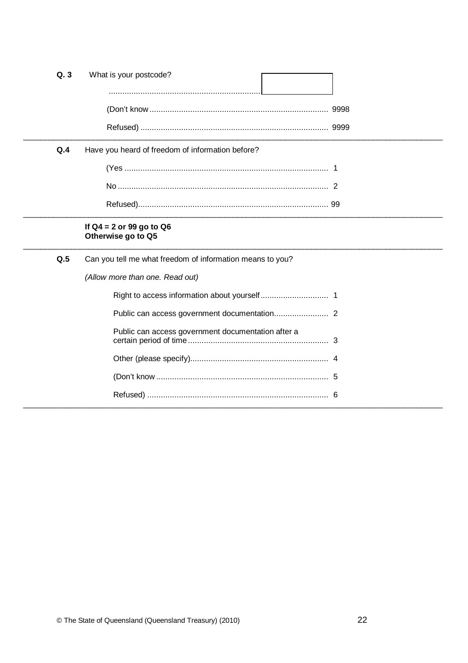| Q.3 | What is your postcode?                                    |
|-----|-----------------------------------------------------------|
|     |                                                           |
|     |                                                           |
| Q.4 | Have you heard of freedom of information before?          |
|     |                                                           |
|     |                                                           |
|     |                                                           |
|     | If $Q4 = 2$ or 99 go to $Q6$<br>Otherwise go to Q5        |
| Q.5 | Can you tell me what freedom of information means to you? |
|     | (Allow more than one. Read out)                           |
|     |                                                           |
|     |                                                           |
|     |                                                           |
|     | Public can access government documentation after a        |
|     |                                                           |
|     |                                                           |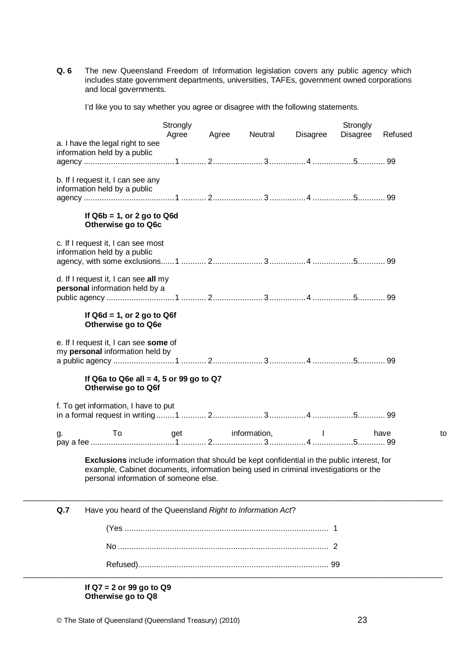**Q. 6** The new Queensland Freedom of Information legislation covers any public agency which includes state government departments, universities, TAFEs, government owned corporations and local governments.

I'd like you to say whether you agree or disagree with the following statements.

|                                                                                                                                                                                                                              | Strongly<br>Agree | Agree | Neutral      | Disagree | Strongly<br>Disagree | Refused |
|------------------------------------------------------------------------------------------------------------------------------------------------------------------------------------------------------------------------------|-------------------|-------|--------------|----------|----------------------|---------|
| a. I have the legal right to see<br>information held by a public                                                                                                                                                             |                   |       |              |          |                      |         |
|                                                                                                                                                                                                                              |                   |       |              |          |                      |         |
| b. If I request it, I can see any<br>information held by a public                                                                                                                                                            |                   |       |              |          |                      |         |
| If $Q6b = 1$ , or 2 go to $Q6d$<br>Otherwise go to Q6c                                                                                                                                                                       |                   |       |              |          |                      |         |
| c. If I request it, I can see most<br>information held by a public                                                                                                                                                           |                   |       |              |          |                      |         |
| d. If I request it, I can see all my<br>personal information held by a                                                                                                                                                       |                   |       |              |          |                      |         |
|                                                                                                                                                                                                                              |                   |       |              |          |                      |         |
| Otherwise go to Q6e<br>e. If I request it, I can see some of<br>my personal information held by<br>If Q6a to Q6e all = 4, 5 or 99 go to Q7<br>Otherwise go to Q6f                                                            |                   |       |              |          |                      |         |
| f. To get information, I have to put                                                                                                                                                                                         |                   |       |              |          |                      |         |
|                                                                                                                                                                                                                              | get               |       | information, |          |                      | have    |
| To:<br>g.                                                                                                                                                                                                                    |                   |       |              |          |                      |         |
| Exclusions include information that should be kept confidential in the public interest, for<br>example, Cabinet documents, information being used in criminal investigations or the<br>personal information of someone else. |                   |       |              |          |                      |         |
| Q.7<br>Have you heard of the Queensland Right to Information Act?                                                                                                                                                            |                   |       |              |          |                      |         |
|                                                                                                                                                                                                                              |                   |       |              |          |                      |         |
|                                                                                                                                                                                                                              |                   |       |              |          |                      |         |

**If Q7 = 2 or 99 go to Q9 Otherwise go to Q8**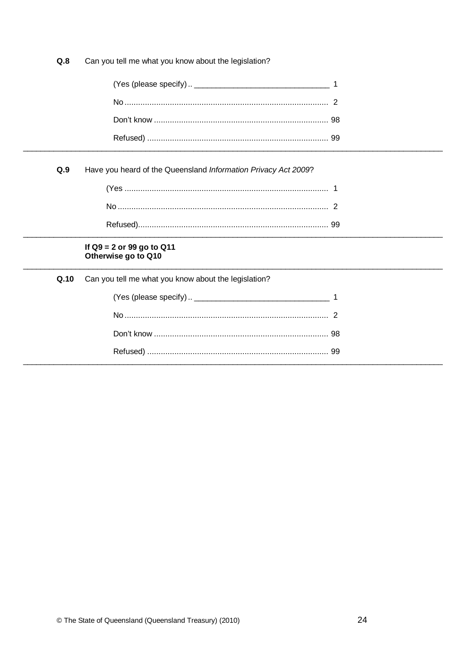$Q.8$ Can you tell me what you know about the legislation?

 $Q.9$ Have you heard of the Queensland Information Privacy Act 2009?

# If  $Q9 = 2$  or 99 go to  $Q11$ <br>Otherwise go to  $Q10$

|  | Q.10 Can you tell me what you know about the legislation? |  |
|--|-----------------------------------------------------------|--|
|  |                                                           |  |
|  |                                                           |  |
|  |                                                           |  |
|  |                                                           |  |
|  |                                                           |  |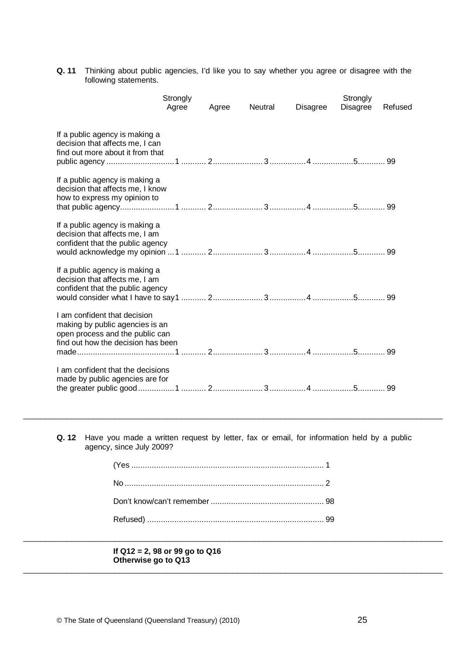**Q. 11** Thinking about public agencies, I'd like you to say whether you agree or disagree with the following statements.

|                                                                                                                                          | Strongly<br>Agree | Agree | Neutral | <b>Disagree</b> | Strongly<br><b>Disagree</b> | Refused |
|------------------------------------------------------------------------------------------------------------------------------------------|-------------------|-------|---------|-----------------|-----------------------------|---------|
| If a public agency is making a<br>decision that affects me, I can<br>find out more about it from that                                    |                   |       |         |                 |                             |         |
| If a public agency is making a<br>decision that affects me, I know<br>how to express my opinion to                                       |                   |       |         |                 |                             |         |
| If a public agency is making a<br>decision that affects me, I am<br>confident that the public agency                                     |                   |       |         |                 |                             |         |
| If a public agency is making a<br>decision that affects me, I am<br>confident that the public agency                                     |                   |       |         |                 |                             |         |
| I am confident that decision<br>making by public agencies is an<br>open process and the public can<br>find out how the decision has been |                   |       |         |                 |                             |         |
| I am confident that the decisions<br>made by public agencies are for                                                                     |                   |       |         |                 |                             |         |

**Q. 12** Have you made a written request by letter, fax or email, for information held by a public agency, since July 2009?

 $\_$  ,  $\_$  ,  $\_$  ,  $\_$  ,  $\_$  ,  $\_$  ,  $\_$  ,  $\_$  ,  $\_$  ,  $\_$  ,  $\_$  ,  $\_$  ,  $\_$  ,  $\_$  ,  $\_$  ,  $\_$  ,  $\_$  ,  $\_$  ,  $\_$  ,  $\_$  ,  $\_$  ,  $\_$  ,  $\_$  ,  $\_$  ,  $\_$  ,  $\_$  ,  $\_$  ,  $\_$  ,  $\_$  ,  $\_$  ,  $\_$  ,  $\_$  ,  $\_$  ,  $\_$  ,  $\_$  ,  $\_$  ,  $\_$  ,

 $\_$  ,  $\_$  ,  $\_$  ,  $\_$  ,  $\_$  ,  $\_$  ,  $\_$  ,  $\_$  ,  $\_$  ,  $\_$  ,  $\_$  ,  $\_$  ,  $\_$  ,  $\_$  ,  $\_$  ,  $\_$  ,  $\_$  ,  $\_$  ,  $\_$  ,  $\_$  ,  $\_$  ,  $\_$  ,  $\_$  ,  $\_$  ,  $\_$  ,  $\_$  ,  $\_$  ,  $\_$  ,  $\_$  ,  $\_$  ,  $\_$  ,  $\_$  ,  $\_$  ,  $\_$  ,  $\_$  ,  $\_$  ,  $\_$  ,

 $\_$  ,  $\_$  ,  $\_$  ,  $\_$  ,  $\_$  ,  $\_$  ,  $\_$  ,  $\_$  ,  $\_$  ,  $\_$  ,  $\_$  ,  $\_$  ,  $\_$  ,  $\_$  ,  $\_$  ,  $\_$  ,  $\_$  ,  $\_$  ,  $\_$  ,  $\_$  ,  $\_$  ,  $\_$  ,  $\_$  ,  $\_$  ,  $\_$  ,  $\_$  ,  $\_$  ,  $\_$  ,  $\_$  ,  $\_$  ,  $\_$  ,  $\_$  ,  $\_$  ,  $\_$  ,  $\_$  ,  $\_$  ,  $\_$  ,

#### **If Q12 = 2, 98 or 99 go to Q16 Otherwise go to Q13**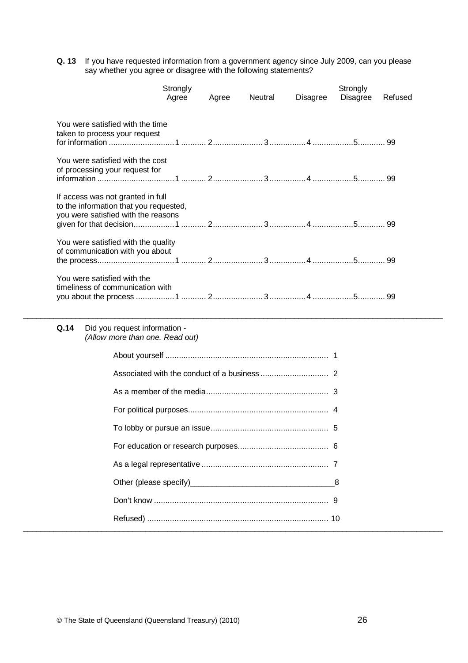**Q. 13** If you have requested information from a government agency since July 2009, can you please say whether you agree or disagree with the following statements?

|                                                                                                                    | Strongly<br>Agree | Agree | Neutral | Disagree | Strongly<br>Disagree | Refused |
|--------------------------------------------------------------------------------------------------------------------|-------------------|-------|---------|----------|----------------------|---------|
| You were satisfied with the time<br>taken to process your request                                                  |                   |       |         |          |                      |         |
| You were satisfied with the cost<br>of processing your request for                                                 |                   |       |         |          |                      |         |
| If access was not granted in full<br>to the information that you requested,<br>you were satisfied with the reasons |                   |       |         |          |                      |         |
| You were satisfied with the quality<br>of communication with you about                                             |                   |       |         |          |                      |         |
| You were satisfied with the<br>timeliness of communication with                                                    |                   |       |         |          |                      |         |

#### **Q.14** Did you request information - (Allow more than one. Read out)

 $\_$  ,  $\_$  ,  $\_$  ,  $\_$  ,  $\_$  ,  $\_$  ,  $\_$  ,  $\_$  ,  $\_$  ,  $\_$  ,  $\_$  ,  $\_$  ,  $\_$  ,  $\_$  ,  $\_$  ,  $\_$  ,  $\_$  ,  $\_$  ,  $\_$  ,  $\_$  ,  $\_$  ,  $\_$  ,  $\_$  ,  $\_$  ,  $\_$  ,  $\_$  ,  $\_$  ,  $\_$  ,  $\_$  ,  $\_$  ,  $\_$  ,  $\_$  ,  $\_$  ,  $\_$  ,  $\_$  ,  $\_$  ,  $\_$  ,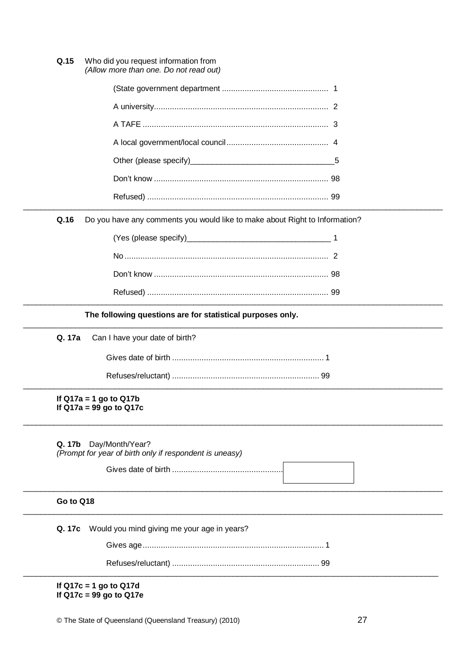$Q.15$ Who did you request information from (Allow more than one. Do not read out)

 $Q.16$ Do you have any comments you would like to make about Right to Information?

The following questions are for statistical purposes only.

Q. 17a Can I have your date of birth?

If  $Q17a = 1$  go to  $Q17b$ If Q17a =  $99$  go to Q17c

| <b>Q. 17b</b> Day/Month/Year?                           |
|---------------------------------------------------------|
| (Prompt for year of birth only if respondent is uneasy) |

#### Go to Q18

Q. 17c Would you mind giving me your age in years?

If  $Q17c = 1$  go to  $Q17d$ If  $Q17c = 99$  go to  $Q17e$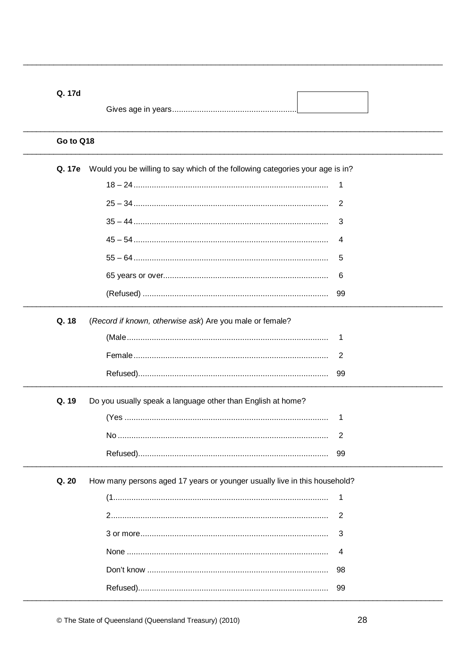| Q. 17d    |                                                                               |                |
|-----------|-------------------------------------------------------------------------------|----------------|
|           |                                                                               |                |
| Go to Q18 |                                                                               |                |
| Q. 17e    | Would you be willing to say which of the following categories your age is in? |                |
|           |                                                                               | 1              |
|           |                                                                               | 2              |
|           |                                                                               | 3              |
|           |                                                                               | 4              |
|           |                                                                               | 5              |
|           |                                                                               | 6              |
|           |                                                                               | 99             |
| Q. 18     | (Record if known, otherwise ask) Are you male or female?                      |                |
|           |                                                                               | 1              |
|           |                                                                               | $\overline{2}$ |
|           |                                                                               | 99             |
| Q. 19     | Do you usually speak a language other than English at home?                   |                |
|           |                                                                               | 1              |
|           |                                                                               | 2              |
|           |                                                                               | 99             |
| Q. 20     | How many persons aged 17 years or younger usually live in this household?     |                |
|           |                                                                               | 1              |
|           |                                                                               | $\overline{2}$ |
|           |                                                                               | 3              |
|           |                                                                               | 4              |
|           |                                                                               | 98             |
|           |                                                                               | 99             |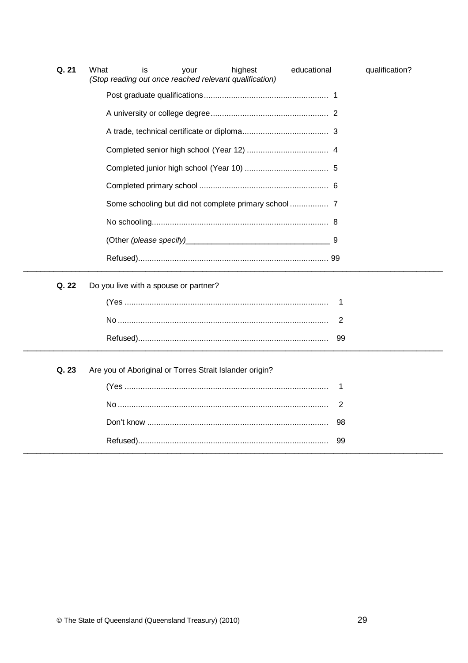| Q. 21 | highest<br>qualification?<br>What<br>educational<br>is<br>your<br>(Stop reading out once reached relevant qualification) |
|-------|--------------------------------------------------------------------------------------------------------------------------|
|       |                                                                                                                          |
|       |                                                                                                                          |
|       |                                                                                                                          |
|       |                                                                                                                          |
|       |                                                                                                                          |
|       |                                                                                                                          |
|       |                                                                                                                          |
|       |                                                                                                                          |
|       |                                                                                                                          |
|       |                                                                                                                          |
| Q. 22 | Do you live with a spouse or partner?                                                                                    |
|       | 1                                                                                                                        |
|       | 2                                                                                                                        |
|       | 99                                                                                                                       |
| Q. 23 | Are you of Aboriginal or Torres Strait Islander origin?                                                                  |
|       | 1                                                                                                                        |
|       | $\overline{2}$                                                                                                           |
|       | 98                                                                                                                       |
|       | 99                                                                                                                       |

 $\overline{a}$  $\overline{\phantom{0}}$ 

 $\overline{\phantom{0}}$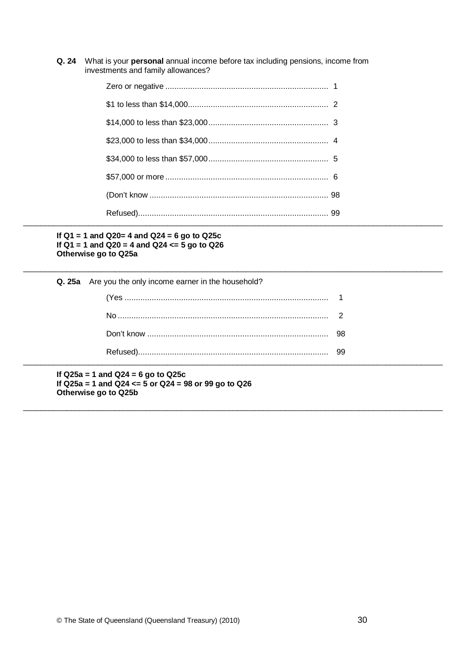Q. 24 What is your personal annual income before tax including pensions, income from investments and family allowances?

#### If  $Q1 = 1$  and  $Q20 = 4$  and  $Q24 = 6$  go to  $Q25c$ If Q1 = 1 and Q20 = 4 and Q24 <=  $\frac{5}{9}$  go to Q26 Otherwise go to Q25a

| Q. 25a Are you the only income earner in the household? |  |
|---------------------------------------------------------|--|
|                                                         |  |
|                                                         |  |
|                                                         |  |
|                                                         |  |

If  $Q25a = 1$  and  $Q24 = 6$  go to  $Q25c$ If Q25a = 1 and Q24 <=  $5$  or Q24 = 98 or 99 go to Q26 Otherwise go to Q25b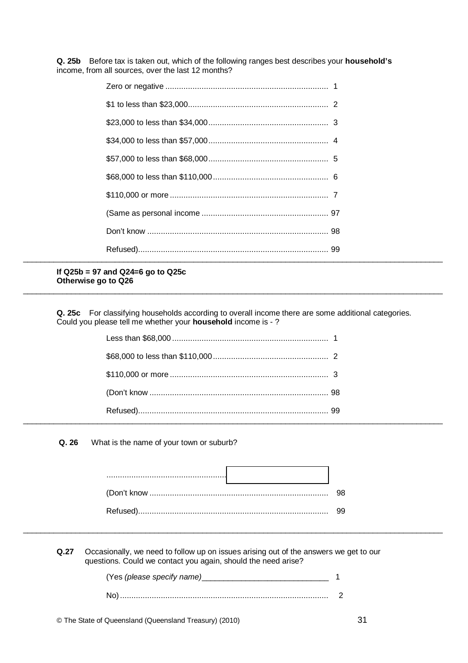Q. 25b Before tax is taken out, which of the following ranges best describes your household's income, from all sources, over the last 12 months?

#### If  $Q25b = 97$  and  $Q24=6$  go to  $Q25c$ Otherwise go to Q26

Q. 25c For classifying households according to overall income there are some additional categories. Could you please tell me whether your household income is - ?

Q. 26 What is the name of your town or suburb?

 $Q.27$ Occasionally, we need to follow up on issues arising out of the answers we get to our questions. Could we contact you again, should the need arise?

| (Yes (please specify name) |  |
|----------------------------|--|
|                            |  |
|                            |  |